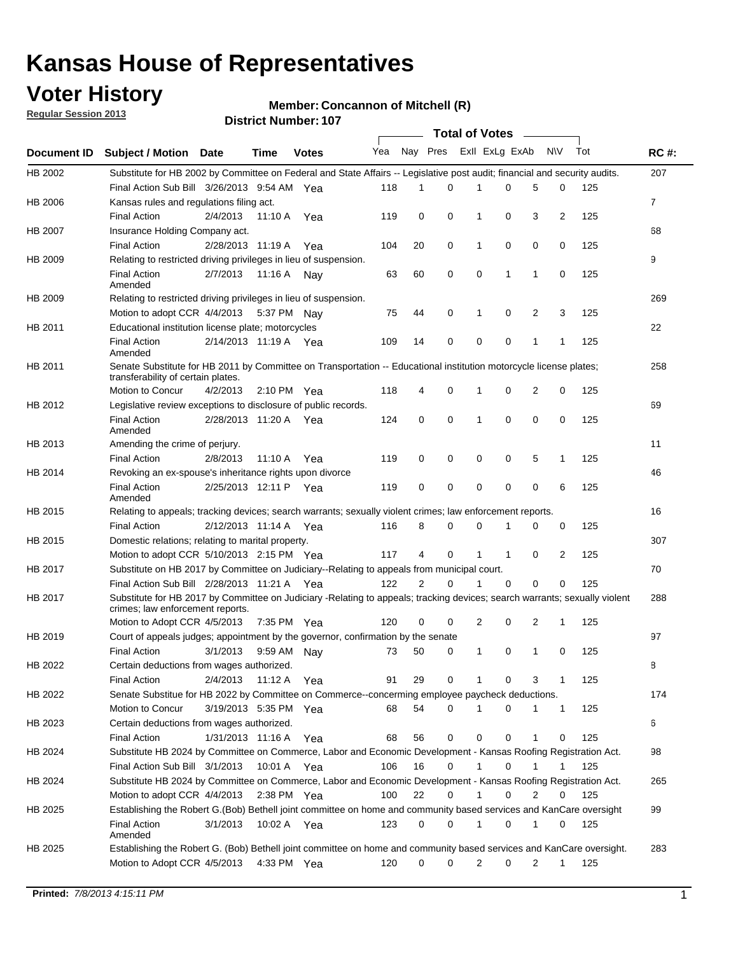## **Voter History**

**Regular Session 2013**

#### **Member: Concannon of Mitchell (R)**

|                    |                                                                                                                                                                |                       |         | <b>DISTRICT NUMBER: 107</b> |     |             |             |             | Total of Votes – |   |              |     |                |
|--------------------|----------------------------------------------------------------------------------------------------------------------------------------------------------------|-----------------------|---------|-----------------------------|-----|-------------|-------------|-------------|------------------|---|--------------|-----|----------------|
| <b>Document ID</b> | <b>Subject / Motion</b>                                                                                                                                        | Date                  | Time    | <b>Votes</b>                | Yea | Nay Pres    |             |             | Exll ExLg ExAb   |   | <b>NV</b>    | Tot | <b>RC#:</b>    |
| HB 2002            | Substitute for HB 2002 by Committee on Federal and State Affairs -- Legislative post audit; financial and security audits.                                     |                       |         |                             |     |             |             |             |                  |   |              |     | 207            |
|                    | Final Action Sub Bill 3/26/2013 9:54 AM Yea                                                                                                                    |                       |         |                             | 118 | 1           | 0           |             | 0                | 5 | 0            | 125 |                |
| HB 2006            | Kansas rules and regulations filing act.                                                                                                                       |                       |         |                             |     |             |             |             |                  |   |              |     | $\overline{7}$ |
|                    | <b>Final Action</b>                                                                                                                                            | 2/4/2013              | 11:10 A | Yea                         | 119 | 0           | 0           | 1           | 0                | 3 | 2            | 125 |                |
| HB 2007            | Insurance Holding Company act.                                                                                                                                 |                       |         |                             |     |             |             |             |                  |   |              |     | 68             |
|                    | <b>Final Action</b>                                                                                                                                            | 2/28/2013 11:19 A     |         | Yea                         | 104 | 20          | 0           | 1           | 0                | 0 | 0            | 125 |                |
| HB 2009            | Relating to restricted driving privileges in lieu of suspension.                                                                                               |                       |         |                             |     |             |             |             |                  |   |              |     | 9              |
|                    | <b>Final Action</b><br>Amended                                                                                                                                 | 2/7/2013              | 11:16 A | Nav                         | 63  | 60          | 0           | 0           | 1                | 1 | 0            | 125 |                |
| HB 2009            | Relating to restricted driving privileges in lieu of suspension.                                                                                               |                       |         |                             |     |             |             |             |                  |   |              |     | 269            |
|                    | Motion to adopt CCR 4/4/2013                                                                                                                                   |                       | 5:37 PM | Nav                         | 75  | 44          | 0           | 1           | 0                | 2 | 3            | 125 |                |
| HB 2011            | Educational institution license plate; motorcycles                                                                                                             |                       |         |                             |     |             |             |             |                  |   |              |     | 22             |
|                    | <b>Final Action</b><br>Amended                                                                                                                                 | 2/14/2013 11:19 A     |         | Yea                         | 109 | 14          | 0           | $\mathbf 0$ | 0                | 1 | 1            | 125 |                |
| HB 2011            | Senate Substitute for HB 2011 by Committee on Transportation -- Educational institution motorcycle license plates;<br>transferability of certain plates.       |                       |         |                             |     |             |             |             |                  |   |              |     | 258            |
|                    | Motion to Concur                                                                                                                                               | 4/2/2013              |         | 2:10 PM Yea                 | 118 | 4           | 0           | 1           | 0                | 2 | 0            | 125 |                |
| HB 2012            | Legislative review exceptions to disclosure of public records.                                                                                                 |                       |         |                             |     |             |             |             |                  |   |              |     | 69             |
|                    | <b>Final Action</b><br>Amended                                                                                                                                 | 2/28/2013 11:20 A Yea |         |                             | 124 | 0           | 0           | 1           | $\mathbf 0$      | 0 | 0            | 125 |                |
| HB 2013            | Amending the crime of perjury.                                                                                                                                 |                       |         |                             |     |             |             |             |                  |   |              |     | 11             |
|                    | <b>Final Action</b>                                                                                                                                            | 2/8/2013              | 11:10 A | Yea                         | 119 | 0           | 0           | 0           | 0                | 5 | $\mathbf 1$  | 125 |                |
| HB 2014            | Revoking an ex-spouse's inheritance rights upon divorce                                                                                                        |                       |         |                             |     |             |             |             |                  |   |              |     | 46             |
|                    | <b>Final Action</b><br>Amended                                                                                                                                 | 2/25/2013 12:11 P     |         | Yea                         | 119 | $\mathbf 0$ | $\mathbf 0$ | $\mathbf 0$ | 0                | 0 | 6            | 125 |                |
| HB 2015            | Relating to appeals; tracking devices; search warrants; sexually violent crimes; law enforcement reports.                                                      |                       |         |                             |     |             |             |             |                  |   |              |     | 16             |
|                    | <b>Final Action</b>                                                                                                                                            | 2/12/2013 11:14 A     |         | Yea                         | 116 | 8           | 0           | 0           | 1                | 0 | 0            | 125 |                |
| HB 2015            | Domestic relations; relating to marital property.                                                                                                              |                       |         |                             |     |             |             |             |                  |   |              |     | 307            |
|                    | Motion to adopt CCR 5/10/2013 2:15 PM Yea                                                                                                                      |                       |         |                             | 117 | 4           | 0           | $\mathbf 1$ | $\mathbf 1$      | 0 | 2            | 125 |                |
| HB 2017            | Substitute on HB 2017 by Committee on Judiciary--Relating to appeals from municipal court.                                                                     |                       |         |                             |     |             |             |             |                  |   |              |     | 70             |
|                    | Final Action Sub Bill 2/28/2013 11:21 A Yea                                                                                                                    |                       |         |                             | 122 | 2           | 0           | 1           | 0                | 0 | 0            | 125 |                |
| HB 2017            | Substitute for HB 2017 by Committee on Judiciary -Relating to appeals; tracking devices; search warrants; sexually violent<br>crimes; law enforcement reports. |                       |         |                             |     |             |             |             |                  |   |              |     | 288            |
|                    | Motion to Adopt CCR 4/5/2013                                                                                                                                   |                       |         | 7:35 PM Yea                 | 120 | 0           | 0           | 2           | 0                | 2 | 1            | 125 |                |
| HB 2019            | Court of appeals judges; appointment by the governor, confirmation by the senate                                                                               |                       |         |                             |     |             |             |             |                  |   |              |     | 97             |
|                    | <b>Final Action</b>                                                                                                                                            | 3/1/2013              |         | 9:59 AM Nay                 | 73  | 50          | 0           | 1           | 0                | 1 | 0            | 125 |                |
| HB 2022            | Certain deductions from wages authorized.                                                                                                                      |                       |         |                             |     |             |             |             |                  |   |              |     | В              |
|                    | <b>Final Action</b>                                                                                                                                            | 2/4/2013              | 11:12 A | Yea                         | 91  | 29          | 0           | 1           | 0                | 3 | 1            | 125 |                |
| HB 2022            | Senate Substitue for HB 2022 by Committee on Commerce--concerming employee paycheck deductions.                                                                |                       |         |                             |     |             |             |             |                  |   |              |     | 174            |
|                    | Motion to Concur                                                                                                                                               | 3/19/2013 5:35 PM Yea |         |                             | 68  | 54          | 0           | 1           | 0                | 1 | $\mathbf{1}$ | 125 |                |
| HB 2023            | Certain deductions from wages authorized.                                                                                                                      |                       |         |                             |     |             |             |             |                  |   |              |     | 6              |
|                    | <b>Final Action</b>                                                                                                                                            | 1/31/2013 11:16 A     |         | Yea                         | 68  | 56          | 0           | 0           | 0                | 1 | 0            | 125 |                |
| HB 2024            | Substitute HB 2024 by Committee on Commerce, Labor and Economic Development - Kansas Roofing Registration Act.                                                 |                       |         |                             |     |             |             |             |                  |   |              |     | 98             |
|                    | Final Action Sub Bill 3/1/2013                                                                                                                                 |                       | 10:01 A | Yea                         | 106 | 16          | 0           | 1           | 0                | 1 | 1            | 125 |                |
| HB 2024            | Substitute HB 2024 by Committee on Commerce, Labor and Economic Development - Kansas Roofing Registration Act.                                                 |                       |         |                             |     |             |             |             |                  |   |              |     | 265            |
|                    | Motion to adopt CCR 4/4/2013                                                                                                                                   |                       |         | $2:38$ PM Yea               | 100 | 22          | 0           | 1           | 0                | 2 | 0            | 125 |                |
| HB 2025            | Establishing the Robert G.(Bob) Bethell joint committee on home and community based services and KanCare oversight                                             |                       |         |                             |     |             |             |             |                  |   |              |     | 99             |
|                    | <b>Final Action</b><br>Amended                                                                                                                                 | 3/1/2013              |         | 10:02 A Yea                 | 123 | 0           | 0           | 1           | 0                | 1 | 0            | 125 |                |
| HB 2025            | Establishing the Robert G. (Bob) Bethell joint committee on home and community based services and KanCare oversight.                                           |                       |         |                             |     |             |             |             |                  |   |              |     | 283            |
|                    | Motion to Adopt CCR 4/5/2013                                                                                                                                   |                       |         | 4:33 PM Yea                 | 120 | 0           | 0           | 2           | 0                | 2 | $\mathbf{1}$ | 125 |                |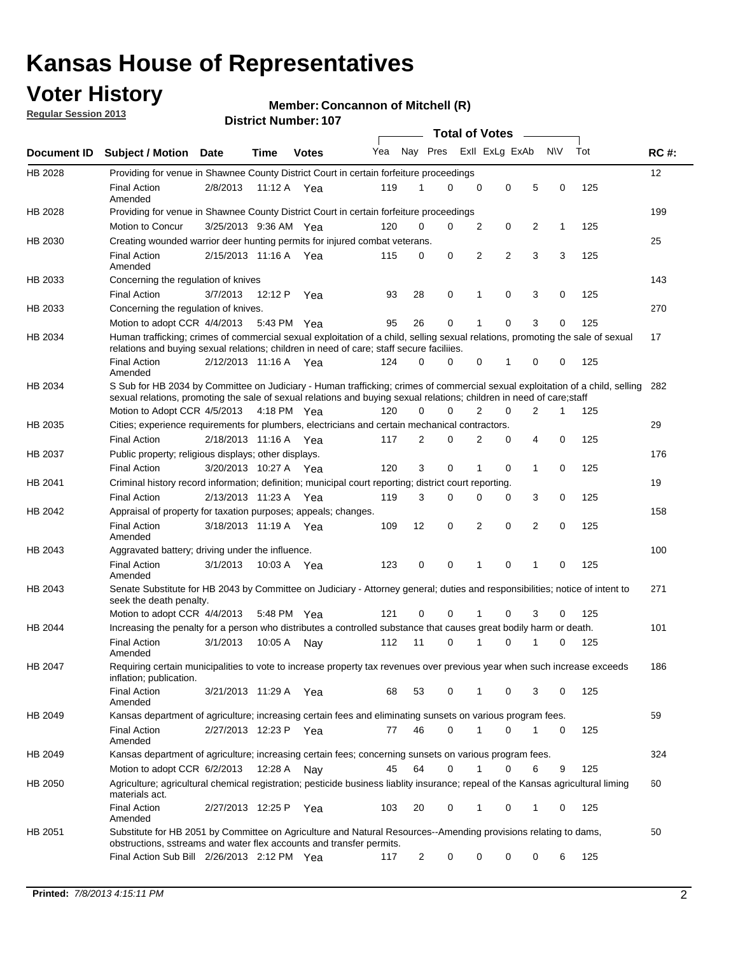## **Voter History**

**Regular Session 2013**

#### **Member: Concannon of Mitchell (R)**

|             |                                                                                                                                                                                                                                                        |                       |         | <b>DISTRICT MATTIMEL.</b> TOP |     |                |   | <b>Total of Votes</b> |             | $\sim$         |           |     |             |
|-------------|--------------------------------------------------------------------------------------------------------------------------------------------------------------------------------------------------------------------------------------------------------|-----------------------|---------|-------------------------------|-----|----------------|---|-----------------------|-------------|----------------|-----------|-----|-------------|
| Document ID | <b>Subject / Motion</b>                                                                                                                                                                                                                                | Date                  | Time    | <b>Votes</b>                  | Yea | Nay Pres       |   | Exll ExLg ExAb        |             |                | <b>NV</b> | Tot | <b>RC#:</b> |
| HB 2028     | Providing for venue in Shawnee County District Court in certain forfeiture proceedings                                                                                                                                                                 |                       |         |                               |     |                |   |                       |             |                |           |     | 12          |
|             | <b>Final Action</b><br>Amended                                                                                                                                                                                                                         | 2/8/2013              |         | 11:12 A Yea                   | 119 |                | 0 | $\mathbf 0$           | 0           | 5              | 0         | 125 |             |
| HB 2028     | Providing for venue in Shawnee County District Court in certain forfeiture proceedings                                                                                                                                                                 |                       |         |                               |     |                |   |                       |             |                |           |     | 199         |
|             | Motion to Concur                                                                                                                                                                                                                                       | 3/25/2013 9:36 AM Yea |         |                               | 120 | 0              | 0 | 2                     | 0           | 2              | 1         | 125 |             |
| HB 2030     | Creating wounded warrior deer hunting permits for injured combat veterans.                                                                                                                                                                             |                       |         |                               |     |                |   |                       |             |                |           |     | 25          |
|             | <b>Final Action</b><br>Amended                                                                                                                                                                                                                         | 2/15/2013 11:16 A     |         | Yea                           | 115 | 0              | 0 | 2                     | 2           | 3              | 3         | 125 |             |
| HB 2033     | Concerning the regulation of knives                                                                                                                                                                                                                    |                       |         |                               |     |                |   |                       |             |                |           |     | 143         |
|             | <b>Final Action</b>                                                                                                                                                                                                                                    | 3/7/2013              | 12:12 P | Yea                           | 93  | 28             | 0 | 1                     | 0           | 3              | 0         | 125 |             |
| HB 2033     | Concerning the regulation of knives.                                                                                                                                                                                                                   |                       |         |                               |     |                |   |                       |             |                |           |     | 270         |
|             | Motion to adopt CCR 4/4/2013 5:43 PM Yea                                                                                                                                                                                                               |                       |         |                               | 95  | 26             | 0 | 1                     | 0           | 3              | 0         | 125 |             |
| HB 2034     | Human trafficking; crimes of commercial sexual exploitation of a child, selling sexual relations, promoting the sale of sexual<br>relations and buying sexual relations; children in need of care; staff secure faciliies.                             |                       |         |                               |     |                |   |                       |             |                |           |     | 17          |
|             | <b>Final Action</b><br>Amended                                                                                                                                                                                                                         | 2/12/2013 11:16 A Yea |         |                               | 124 | $\Omega$       | 0 | $\Omega$              | 1           | 0              | 0         | 125 |             |
| HB 2034     | S Sub for HB 2034 by Committee on Judiciary - Human trafficking; crimes of commercial sexual exploitation of a child, selling<br>sexual relations, promoting the sale of sexual relations and buying sexual relations; children in need of care; staff |                       |         |                               |     |                |   |                       |             |                |           |     | 282         |
|             | Motion to Adopt CCR 4/5/2013 4:18 PM Yea                                                                                                                                                                                                               |                       |         |                               | 120 | 0              | 0 | $\overline{2}$        | 0           | 2              | 1         | 125 |             |
| HB 2035     | Cities; experience requirements for plumbers, electricians and certain mechanical contractors.                                                                                                                                                         |                       |         |                               |     |                |   |                       |             |                |           |     | 29          |
|             | <b>Final Action</b>                                                                                                                                                                                                                                    | 2/18/2013 11:16 A     |         | Yea                           | 117 | 2              | 0 | 2                     | 0           | 4              | 0         | 125 |             |
| HB 2037     | Public property; religious displays; other displays.                                                                                                                                                                                                   |                       |         |                               |     |                |   |                       |             |                |           |     | 176         |
|             | <b>Final Action</b>                                                                                                                                                                                                                                    | 3/20/2013 10:27 A Yea |         |                               | 120 | 3              | 0 | 1                     | $\mathbf 0$ | 1              | 0         | 125 |             |
| HB 2041     | Criminal history record information; definition; municipal court reporting; district court reporting.                                                                                                                                                  |                       |         |                               |     |                |   |                       |             |                |           |     | 19          |
|             | <b>Final Action</b>                                                                                                                                                                                                                                    | 2/13/2013 11:23 A     |         | Yea                           | 119 | 3              | 0 | 0                     | 0           | 3              | 0         | 125 |             |
| HB 2042     | Appraisal of property for taxation purposes; appeals; changes.                                                                                                                                                                                         |                       |         |                               |     |                |   |                       |             |                |           |     | 158         |
|             | <b>Final Action</b><br>Amended                                                                                                                                                                                                                         | 3/18/2013 11:19 A Yea |         |                               | 109 | 12             | 0 | 2                     | $\mathbf 0$ | $\overline{2}$ | 0         | 125 |             |
| HB 2043     | Aggravated battery; driving under the influence.                                                                                                                                                                                                       |                       |         |                               |     |                |   |                       |             |                |           |     | 100         |
|             | <b>Final Action</b><br>Amended                                                                                                                                                                                                                         | 3/1/2013              |         | 10:03 A Yea                   | 123 | 0              | 0 | 1                     | $\Omega$    | 1              | $\Omega$  | 125 |             |
| HB 2043     | Senate Substitute for HB 2043 by Committee on Judiciary - Attorney general; duties and responsibilities; notice of intent to<br>seek the death penalty.                                                                                                |                       |         |                               |     |                |   |                       |             |                |           |     | 271         |
|             | Motion to adopt CCR 4/4/2013                                                                                                                                                                                                                           |                       | 5:48 PM | Yea                           | 121 | $\Omega$       | 0 |                       | 0           | 3              | 0         | 125 |             |
| HB 2044     | Increasing the penalty for a person who distributes a controlled substance that causes great bodily harm or death.                                                                                                                                     |                       |         |                               |     |                |   |                       |             |                |           |     | 101         |
|             | <b>Final Action</b><br>Amended                                                                                                                                                                                                                         | 3/1/2013              | 10:05 A | Nav                           | 112 | 11             | 0 | 1                     | 0           | 1              | 0         | 125 |             |
| HB 2047     | Requiring certain municipalities to vote to increase property tax revenues over previous year when such increase exceeds<br>inflation; publication.                                                                                                    |                       |         |                               |     |                |   |                       |             |                |           |     | 186         |
|             | <b>Final Action</b><br>Amended                                                                                                                                                                                                                         | 3/21/2013 11:29 A Yea |         |                               | 68  | 53             | 0 | 1                     | 0           | 3              | 0         | 125 |             |
| HB 2049     | Kansas department of agriculture; increasing certain fees and eliminating sunsets on various program fees.                                                                                                                                             |                       |         |                               |     |                |   |                       |             |                |           |     | 59          |
|             | <b>Final Action</b><br>Amended                                                                                                                                                                                                                         | 2/27/2013 12:23 P Yea |         |                               | 77  | 46             | 0 | 1                     | 0           |                | 0         | 125 |             |
| HB 2049     | Kansas department of agriculture; increasing certain fees; concerning sunsets on various program fees.                                                                                                                                                 |                       |         |                               |     |                |   |                       |             |                |           |     | 324         |
|             | Motion to adopt CCR 6/2/2013                                                                                                                                                                                                                           |                       | 12:28 A | Nay                           | 45  | 64             | 0 | 1                     | 0           | 6              | 9         | 125 |             |
| HB 2050     | Agriculture; agricultural chemical registration; pesticide business liablity insurance; repeal of the Kansas agricultural liming<br>materials act.                                                                                                     |                       |         |                               |     |                |   |                       |             |                |           |     | 60          |
|             | <b>Final Action</b><br>Amended                                                                                                                                                                                                                         | 2/27/2013 12:25 P     |         | Yea                           | 103 | 20             | 0 | 1                     | 0           | 1              | 0         | 125 |             |
| HB 2051     | Substitute for HB 2051 by Committee on Agriculture and Natural Resources--Amending provisions relating to dams,<br>obstructions, sstreams and water flex accounts and transfer permits.                                                                |                       |         |                               |     |                |   |                       |             |                |           |     | 50          |
|             | Final Action Sub Bill 2/26/2013 2:12 PM Yea                                                                                                                                                                                                            |                       |         |                               | 117 | $\overline{2}$ | 0 | 0                     | 0           | 0              | 6         | 125 |             |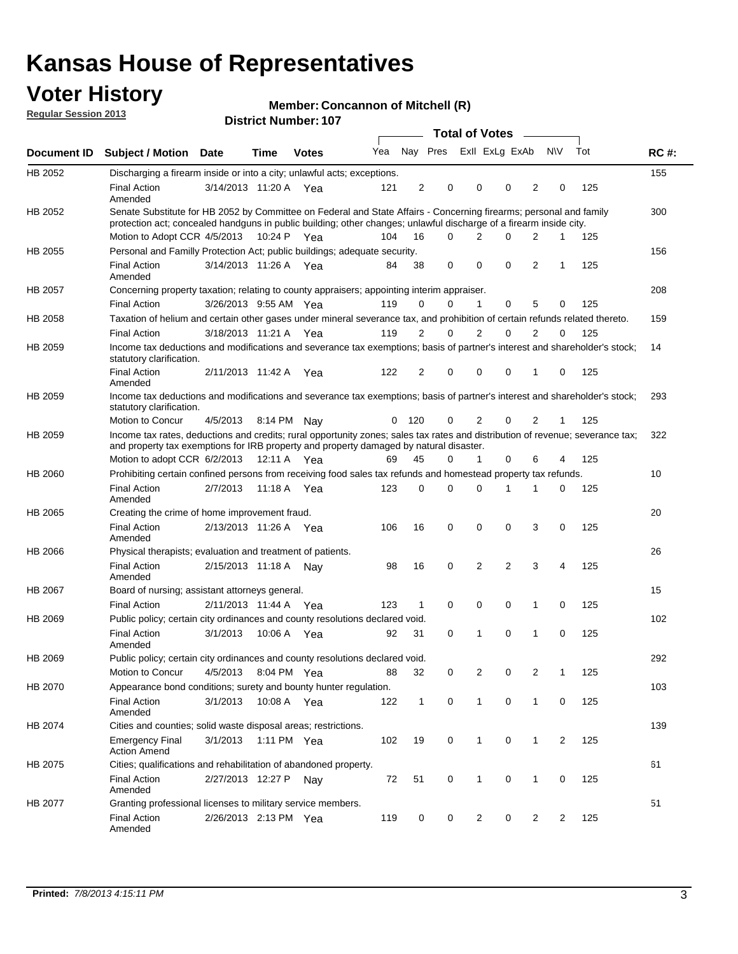## **Voter History**

**Member: Concannon of Mitchell (R)** 

**Regular Session 2013**

|             |                                                                                                                                                                                                                                          |                       |             |              |     |              |                         | <b>Total of Votes</b> |                |             | $\sim$         |              |     |             |
|-------------|------------------------------------------------------------------------------------------------------------------------------------------------------------------------------------------------------------------------------------------|-----------------------|-------------|--------------|-----|--------------|-------------------------|-----------------------|----------------|-------------|----------------|--------------|-----|-------------|
| Document ID | <b>Subject / Motion Date</b>                                                                                                                                                                                                             |                       | <b>Time</b> | <b>Votes</b> | Yea |              | Nay Pres Exll ExLg ExAb |                       |                |             |                | <b>NV</b>    | Tot | <b>RC#:</b> |
| HB 2052     | Discharging a firearm inside or into a city; unlawful acts; exceptions.                                                                                                                                                                  |                       |             |              |     |              |                         |                       |                |             |                |              |     | 155         |
|             | <b>Final Action</b><br>Amended                                                                                                                                                                                                           | 3/14/2013 11:20 A Yea |             |              | 121 | 2            | $\mathbf 0$             |                       | $\Omega$       | $\Omega$    | 2              | 0            | 125 |             |
| HB 2052     | Senate Substitute for HB 2052 by Committee on Federal and State Affairs - Concerning firearms; personal and family<br>protection act; concealed handguns in public building; other changes; unlawful discharge of a firearm inside city. |                       |             |              |     |              |                         |                       |                |             |                |              |     | 300         |
|             | Motion to Adopt CCR 4/5/2013 10:24 P Yea                                                                                                                                                                                                 |                       |             |              | 104 | 16           |                         | $\Omega$              | 2              | $\Omega$    | 2              | $\mathbf{1}$ | 125 |             |
| HB 2055     | Personal and Familly Protection Act; public buildings; adequate security.                                                                                                                                                                |                       |             |              |     |              |                         |                       |                |             |                |              |     | 156         |
|             | <b>Final Action</b><br>Amended                                                                                                                                                                                                           | 3/14/2013 11:26 A     |             | Yea          | 84  | 38           | $\mathbf 0$             |                       | 0              | 0           | 2              | 1            | 125 |             |
| HB 2057     | Concerning property taxation; relating to county appraisers; appointing interim appraiser.                                                                                                                                               |                       |             |              |     |              |                         |                       |                |             |                |              |     | 208         |
|             | <b>Final Action</b>                                                                                                                                                                                                                      | 3/26/2013 9:55 AM Yea |             |              | 119 | 0            |                         | 0                     | $\mathbf 1$    | 0           | 5              | 0            | 125 |             |
| HB 2058     | Taxation of helium and certain other gases under mineral severance tax, and prohibition of certain refunds related thereto.                                                                                                              |                       |             |              |     |              |                         |                       |                |             |                |              |     | 159         |
|             | <b>Final Action</b>                                                                                                                                                                                                                      | 3/18/2013 11:21 A Yea |             |              | 119 | 2            |                         | 0                     | $\overline{2}$ | 0           | 2              | $\Omega$     | 125 |             |
| HB 2059     | Income tax deductions and modifications and severance tax exemptions; basis of partner's interest and shareholder's stock;<br>statutory clarification.                                                                                   |                       |             |              |     |              |                         |                       |                |             |                |              |     | 14          |
|             | <b>Final Action</b><br>Amended                                                                                                                                                                                                           | 2/11/2013 11:42 A     |             | Yea          | 122 | 2            |                         | 0                     | 0              | 0           | 1              | 0            | 125 |             |
| HB 2059     | Income tax deductions and modifications and severance tax exemptions; basis of partner's interest and shareholder's stock;<br>statutory clarification.                                                                                   |                       |             |              |     |              |                         |                       |                |             |                |              |     | 293         |
|             | Motion to Concur                                                                                                                                                                                                                         | 4/5/2013              |             | 8:14 PM Nav  | 0   | 120          |                         | 0                     | 2              | 0           | 2              | 1            | 125 |             |
| HB 2059     | Income tax rates, deductions and credits; rural opportunity zones; sales tax rates and distribution of revenue; severance tax;<br>and property tax exemptions for IRB property and property damaged by natural disaster.                 |                       |             |              |     |              |                         |                       |                |             |                |              |     | 322         |
|             | Motion to adopt CCR 6/2/2013                                                                                                                                                                                                             |                       | 12:11 A     | Yea          | 69  | 45           |                         | 0                     | 1              | 0           | 6              | 4            | 125 |             |
| HB 2060     | Prohibiting certain confined persons from receiving food sales tax refunds and homestead property tax refunds.                                                                                                                           |                       |             |              |     |              |                         |                       |                |             |                |              |     | 10          |
|             | <b>Final Action</b><br>Amended                                                                                                                                                                                                           | 2/7/2013              | 11:18 A     | Yea          | 123 | 0            | $\Omega$                |                       | $\Omega$       | 1           | 1              | 0            | 125 |             |
| HB 2065     | Creating the crime of home improvement fraud.                                                                                                                                                                                            |                       |             |              |     |              |                         |                       |                |             |                |              |     | 20          |
|             | <b>Final Action</b><br>Amended                                                                                                                                                                                                           | 2/13/2013 11:26 A Yea |             |              | 106 | 16           | $\mathbf 0$             |                       | 0              | 0           | 3              | $\Omega$     | 125 |             |
| HB 2066     | Physical therapists; evaluation and treatment of patients.                                                                                                                                                                               |                       |             |              |     |              |                         |                       |                |             |                |              |     | 26          |
|             | <b>Final Action</b><br>Amended                                                                                                                                                                                                           | 2/15/2013 11:18 A Nay |             |              | 98  | 16           | $\mathbf 0$             |                       | 2              | 2           | 3              | 4            | 125 |             |
| HB 2067     | Board of nursing; assistant attorneys general.                                                                                                                                                                                           |                       |             |              |     |              |                         |                       |                |             |                |              |     | 15          |
|             | <b>Final Action</b>                                                                                                                                                                                                                      | 2/11/2013 11:44 A Yea |             |              | 123 | 1            | $\mathbf 0$             |                       | 0              | 0           | 1              | 0            | 125 |             |
| HB 2069     | Public policy; certain city ordinances and county resolutions declared void.                                                                                                                                                             |                       |             |              |     |              |                         |                       |                |             |                |              |     | 102         |
|             | <b>Final Action</b><br>Amended                                                                                                                                                                                                           | 3/1/2013              | 10:06 A     | Yea          | 92  | 31           |                         | 0                     | 1              | 0           | 1              | 0            | 125 |             |
| HB 2069     | Public policy; certain city ordinances and county resolutions declared void.                                                                                                                                                             |                       |             |              |     |              |                         |                       |                |             |                |              |     | 292         |
|             | Motion to Concur                                                                                                                                                                                                                         | 4/5/2013              |             | 8:04 PM Yea  | 88  | 32           |                         | 0                     | $\overline{2}$ | 0           | $\overline{2}$ | 1            | 125 |             |
| HB 2070     | Appearance bond conditions; surety and bounty hunter regulation.                                                                                                                                                                         |                       |             |              |     |              |                         |                       |                |             |                |              |     | 103         |
|             | <b>Final Action</b><br>Amended                                                                                                                                                                                                           | 3/1/2013              |             | 10:08 A Yea  | 122 | $\mathbf{1}$ |                         | 0                     | $\mathbf{1}$   | $\mathbf 0$ | $\mathbf{1}$   | 0            | 125 |             |
| HB 2074     | Cities and counties; solid waste disposal areas; restrictions.                                                                                                                                                                           |                       |             |              |     |              |                         |                       |                |             |                |              |     | 139         |
|             | <b>Emergency Final</b><br><b>Action Amend</b>                                                                                                                                                                                            | 3/1/2013              |             | 1:11 PM Yea  | 102 | 19           |                         | 0                     | $\mathbf{1}$   | 0           | $\mathbf{1}$   | 2            | 125 |             |
| HB 2075     | Cities; qualifications and rehabilitation of abandoned property.                                                                                                                                                                         |                       |             |              |     |              |                         |                       |                |             |                |              |     | 61          |
|             | <b>Final Action</b><br>Amended                                                                                                                                                                                                           | 2/27/2013 12:27 P Nay |             |              | 72  | 51           |                         | 0                     | 1              | 0           | 1              | 0            | 125 |             |
| HB 2077     | Granting professional licenses to military service members.<br><b>Final Action</b><br>Amended                                                                                                                                            | 2/26/2013 2:13 PM Yea |             |              | 119 | 0            |                         | 0                     | $\overline{2}$ | 0           | $\overline{2}$ | 2            | 125 | 51          |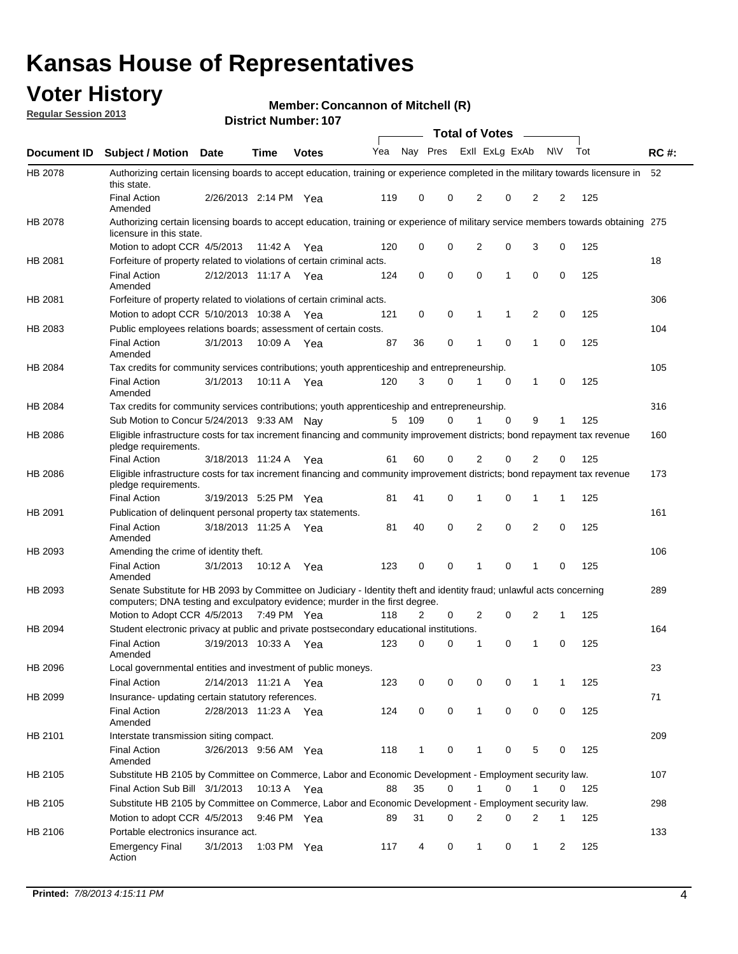## **Voter History**

**Member: Concannon of Mitchell (R)** 

**Regular Session 2013**

|             |                                                                                                                                                                                                       |                       |               | <b>DISTRICT NUMBER: 107</b> |     |              |          | Total of Votes – |                |                   |     |             |
|-------------|-------------------------------------------------------------------------------------------------------------------------------------------------------------------------------------------------------|-----------------------|---------------|-----------------------------|-----|--------------|----------|------------------|----------------|-------------------|-----|-------------|
| Document ID | <b>Subject / Motion</b>                                                                                                                                                                               | Date                  | Time          | <b>Votes</b>                | Yea | Nay Pres     |          |                  | Exll ExLg ExAb | <b>NV</b>         | Tot | <b>RC#:</b> |
| HB 2078     | Authorizing certain licensing boards to accept education, training or experience completed in the military towards licensure in<br>this state.                                                        |                       |               |                             |     |              |          |                  |                |                   |     | 52          |
|             | <b>Final Action</b><br>Amended                                                                                                                                                                        | 2/26/2013 2:14 PM     |               | Yea                         | 119 | 0            | 0        | 2                | 0              | 2<br>2            | 125 |             |
| HB 2078     | Authorizing certain licensing boards to accept education, training or experience of military service members towards obtaining 275<br>licensure in this state.                                        |                       |               |                             |     |              |          |                  |                |                   |     |             |
|             | Motion to adopt CCR 4/5/2013                                                                                                                                                                          |                       | 11:42 A       | Yea                         | 120 | 0            | 0        | $\overline{2}$   | 0              | 0<br>3            | 125 |             |
| HB 2081     | Forfeiture of property related to violations of certain criminal acts.                                                                                                                                |                       |               |                             |     |              |          |                  |                |                   |     | 18          |
|             | <b>Final Action</b><br>Amended                                                                                                                                                                        | 2/12/2013 11:17 A Yea |               |                             | 124 | 0            | 0        | 0                | $\mathbf{1}$   | 0<br>0            | 125 |             |
| HB 2081     | Forfeiture of property related to violations of certain criminal acts.                                                                                                                                |                       |               |                             |     |              |          |                  |                |                   |     | 306         |
|             | Motion to adopt CCR 5/10/2013 10:38 A                                                                                                                                                                 |                       |               | Yea                         | 121 | 0            | 0        | 1                | 1              | 2<br>0            | 125 |             |
| HB 2083     | Public employees relations boards; assessment of certain costs.                                                                                                                                       |                       |               |                             |     |              |          |                  |                |                   |     | 104         |
|             | <b>Final Action</b><br>Amended                                                                                                                                                                        | 3/1/2013              | 10:09 A       | Yea                         | 87  | 36           | 0        | 1                | $\mathbf 0$    | 0<br>1            | 125 |             |
| HB 2084     | Tax credits for community services contributions; youth apprenticeship and entrepreneurship.                                                                                                          |                       |               |                             |     |              |          |                  |                |                   |     | 105         |
|             | <b>Final Action</b><br>Amended                                                                                                                                                                        | 3/1/2013              | 10:11 A       | Yea                         | 120 | 3            | 0        | 1                | $\mathbf 0$    | 1<br>0            | 125 |             |
| HB 2084     | Tax credits for community services contributions; youth apprenticeship and entrepreneurship.                                                                                                          |                       |               |                             |     |              |          |                  |                |                   |     | 316         |
|             | Sub Motion to Concur 5/24/2013 9:33 AM Nay                                                                                                                                                            |                       |               |                             | 5   | 109          | 0        |                  | $\Omega$       | 9<br>1            | 125 |             |
| HB 2086     | Eligible infrastructure costs for tax increment financing and community improvement districts; bond repayment tax revenue<br>pledge requirements.                                                     |                       |               |                             |     |              |          |                  |                |                   |     | 160         |
|             | <b>Final Action</b>                                                                                                                                                                                   | 3/18/2013 11:24 A     |               | Yea                         | 61  | 60           | 0        | 2                | $\Omega$       | 2<br>0            | 125 |             |
| HB 2086     | Eligible infrastructure costs for tax increment financing and community improvement districts; bond repayment tax revenue<br>pledge requirements.                                                     |                       |               |                             |     |              |          |                  |                |                   |     | 173         |
|             | <b>Final Action</b>                                                                                                                                                                                   | 3/19/2013 5:25 PM Yea |               |                             | 81  | 41           | 0        | 1                | 0              | 1<br>1            | 125 |             |
| HB 2091     | Publication of delinguent personal property tax statements.                                                                                                                                           |                       |               |                             |     |              |          |                  |                |                   |     | 161         |
|             | <b>Final Action</b><br>Amended                                                                                                                                                                        | 3/18/2013 11:25 A     |               | Yea                         | 81  | 40           | 0        | 2                | $\mathbf 0$    | 2<br>0            | 125 |             |
| HB 2093     | Amending the crime of identity theft.                                                                                                                                                                 |                       |               |                             |     |              |          |                  |                |                   |     | 106         |
|             | <b>Final Action</b><br>Amended                                                                                                                                                                        | 3/1/2013              | 10:12 A       | Yea                         | 123 | 0            | 0        | 1                | 0<br>1         | 0                 | 125 |             |
| HB 2093     | Senate Substitute for HB 2093 by Committee on Judiciary - Identity theft and identity fraud; unlawful acts concerning<br>computers; DNA testing and exculpatory evidence; murder in the first degree. |                       |               |                             |     |              |          |                  |                |                   |     | 289         |
|             | Motion to Adopt CCR 4/5/2013 7:49 PM Yea                                                                                                                                                              |                       |               |                             | 118 | 2            | 0        | 2                | 0              | 2<br>1            | 125 |             |
| HB 2094     | Student electronic privacy at public and private postsecondary educational institutions.                                                                                                              |                       |               |                             |     |              |          |                  |                |                   |     | 164         |
|             | <b>Final Action</b><br>Amended                                                                                                                                                                        | 3/19/2013 10:33 A     |               | Yea                         | 123 | 0            | $\Omega$ | 1                | 0              | 0<br>1            | 125 |             |
| HB 2096     | Local governmental entities and investment of public moneys.<br><b>Final Action</b>                                                                                                                   | 2/14/2013 11:21 A Yea |               |                             | 123 | 0            | 0        | 0                | 0              | 1<br>1            | 125 | 23          |
| HB 2099     | Insurance- updating certain statutory references.                                                                                                                                                     |                       |               |                             |     |              |          |                  |                |                   |     | 71          |
|             | <b>Final Action</b><br>Amended                                                                                                                                                                        | 2/28/2013 11:23 A Yea |               |                             | 124 | 0            | 0        | $\mathbf{1}$     | 0              | 0<br>0            | 125 |             |
| HB 2101     | Interstate transmission siting compact.                                                                                                                                                               |                       |               |                             |     |              |          |                  |                |                   |     | 209         |
|             | <b>Final Action</b><br>Amended                                                                                                                                                                        | 3/26/2013 9:56 AM Yea |               |                             | 118 | $\mathbf{1}$ | 0        | 1                | 0              | 5<br>0            | 125 |             |
| HB 2105     | Substitute HB 2105 by Committee on Commerce, Labor and Economic Development - Employment security law.                                                                                                |                       |               |                             |     |              |          |                  |                |                   |     | 107         |
|             | Final Action Sub Bill 3/1/2013                                                                                                                                                                        |                       | 10:13 A Yea   |                             | 88  | 35           | 0        | 1                | 0              | 1<br>0            | 125 |             |
| HB 2105     | Substitute HB 2105 by Committee on Commerce, Labor and Economic Development - Employment security law.                                                                                                |                       |               |                             |     |              |          |                  |                |                   |     | 298         |
|             | Motion to adopt CCR 4/5/2013                                                                                                                                                                          |                       | 9:46 PM Yea   |                             | 89  | 31           | 0        | 2                | 0              | 2<br>1            | 125 |             |
| HB 2106     | Portable electronics insurance act.                                                                                                                                                                   |                       |               |                             |     |              |          |                  |                |                   |     | 133         |
|             | <b>Emergency Final</b><br>Action                                                                                                                                                                      | 3/1/2013              | 1:03 PM $Yea$ |                             | 117 | 4            | 0        | $\mathbf{1}$     | 0              | $\mathbf{1}$<br>2 | 125 |             |
|             |                                                                                                                                                                                                       |                       |               |                             |     |              |          |                  |                |                   |     |             |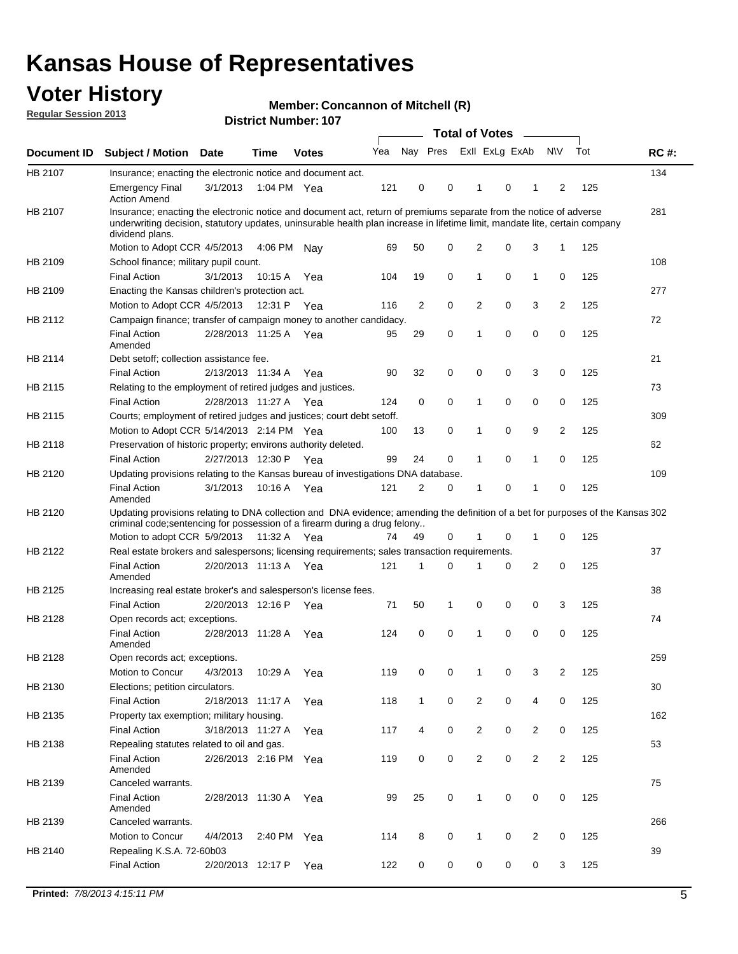## **Voter History**

**Member: Concannon of Mitchell (R)** 

**Regular Session 2013**

|                    |                                                                                                                                                                                                                                                                      |                       |             | <b>DISUILLINUIIIDEL. IUI</b> |     |              |          | Total of Votes – |          |                |                |     |             |
|--------------------|----------------------------------------------------------------------------------------------------------------------------------------------------------------------------------------------------------------------------------------------------------------------|-----------------------|-------------|------------------------------|-----|--------------|----------|------------------|----------|----------------|----------------|-----|-------------|
| <b>Document ID</b> | <b>Subject / Motion</b>                                                                                                                                                                                                                                              | Date                  | <b>Time</b> | <b>Votes</b>                 | Yea | Nay Pres     |          | Exll ExLg ExAb   |          |                | <b>NV</b>      | Tot | <b>RC#:</b> |
| HB 2107            | Insurance; enacting the electronic notice and document act.                                                                                                                                                                                                          |                       |             |                              |     |              |          |                  |          |                |                |     | 134         |
|                    | <b>Emergency Final</b><br><b>Action Amend</b>                                                                                                                                                                                                                        | 3/1/2013              |             | 1:04 PM Yea                  | 121 | 0            | 0        | $\mathbf 1$      | 0        | 1              | 2              | 125 |             |
| HB 2107            | Insurance; enacting the electronic notice and document act, return of premiums separate from the notice of adverse<br>underwriting decision, statutory updates, uninsurable health plan increase in lifetime limit, mandate lite, certain company<br>dividend plans. |                       |             |                              |     |              |          |                  |          |                |                |     | 281         |
|                    | Motion to Adopt CCR 4/5/2013                                                                                                                                                                                                                                         |                       | 4:06 PM     | Nav                          | 69  | 50           | 0        | 2                | 0        | 3              | 1              | 125 |             |
| HB 2109            | School finance; military pupil count.                                                                                                                                                                                                                                |                       |             |                              |     |              |          |                  |          |                |                |     | 108         |
|                    | <b>Final Action</b>                                                                                                                                                                                                                                                  | 3/1/2013              | 10:15 A     | Yea                          | 104 | 19           | 0        | 1                | 0        | $\mathbf{1}$   | 0              | 125 |             |
| HB 2109            | Enacting the Kansas children's protection act.                                                                                                                                                                                                                       |                       |             |                              |     |              |          |                  |          |                |                |     | 277         |
|                    | Motion to Adopt CCR 4/5/2013                                                                                                                                                                                                                                         |                       |             | 12:31 P Yea                  | 116 | 2            | 0        | 2                | 0        | 3              | 2              | 125 |             |
| HB 2112            | Campaign finance; transfer of campaign money to another candidacy.                                                                                                                                                                                                   |                       |             |                              |     |              |          |                  |          |                |                |     | 72          |
|                    | <b>Final Action</b><br>Amended                                                                                                                                                                                                                                       | 2/28/2013 11:25 A Yea |             |                              | 95  | 29           | 0        | 1                | 0        | 0              | 0              | 125 |             |
| HB 2114            | Debt setoff; collection assistance fee.                                                                                                                                                                                                                              |                       |             |                              |     |              |          |                  |          |                |                |     | 21          |
|                    | <b>Final Action</b>                                                                                                                                                                                                                                                  | 2/13/2013 11:34 A     |             | Yea                          | 90  | 32           | 0        | 0                | 0        | 3              | 0              | 125 |             |
| HB 2115            | Relating to the employment of retired judges and justices.                                                                                                                                                                                                           |                       |             |                              |     |              |          |                  |          |                |                |     | 73          |
|                    | <b>Final Action</b>                                                                                                                                                                                                                                                  | 2/28/2013 11:27 A     |             | Yea                          | 124 | 0            | 0        | 1                | 0        | 0              | 0              | 125 |             |
| HB 2115            | Courts; employment of retired judges and justices; court debt setoff.                                                                                                                                                                                                |                       |             |                              |     |              |          |                  |          |                |                |     | 309         |
|                    | Motion to Adopt CCR 5/14/2013 2:14 PM Yea                                                                                                                                                                                                                            |                       |             |                              | 100 | 13           | 0        | 1                | 0        | 9              | $\overline{2}$ | 125 |             |
| HB 2118            | Preservation of historic property; environs authority deleted.                                                                                                                                                                                                       |                       |             |                              |     |              |          |                  |          |                |                |     | 62          |
|                    | <b>Final Action</b>                                                                                                                                                                                                                                                  | 2/27/2013 12:30 P     |             | Yea                          | 99  | 24           | 0        | 1                | 0        | 1              | 0              | 125 |             |
| HB 2120            | Updating provisions relating to the Kansas bureau of investigations DNA database.                                                                                                                                                                                    |                       |             |                              |     |              |          |                  |          |                |                |     | 109         |
|                    | <b>Final Action</b><br>Amended                                                                                                                                                                                                                                       | 3/1/2013              |             | 10:16 A Yea                  | 121 | 2            | 0        | 1                | 0        | 1              | 0              | 125 |             |
| HB 2120            | Updating provisions relating to DNA collection and DNA evidence; amending the definition of a bet for purposes of the Kansas 302<br>criminal code; sentencing for possession of a firearm during a drug felony<br>Motion to adopt CCR 5/9/2013 11:32 A Yea           |                       |             |                              | 74  | 49           | 0        |                  | 0        | 1              | 0              | 125 |             |
| HB 2122            | Real estate brokers and salespersons; licensing requirements; sales transaction requirements.                                                                                                                                                                        |                       |             |                              |     |              |          |                  |          |                |                |     | 37          |
|                    | <b>Final Action</b><br>Amended                                                                                                                                                                                                                                       | 2/20/2013 11:13 A     |             | Yea                          | 121 | 1            | $\Omega$ |                  | 0        | 2              | 0              | 125 |             |
| HB 2125            | Increasing real estate broker's and salesperson's license fees.                                                                                                                                                                                                      |                       |             |                              |     |              |          |                  |          |                |                |     | 38          |
|                    | <b>Final Action</b>                                                                                                                                                                                                                                                  | 2/20/2013 12:16 P     |             | Yea                          | 71  | 50           | 1        | 0                | 0        | 0              | 3              | 125 |             |
| HB 2128            | Open records act; exceptions.                                                                                                                                                                                                                                        |                       |             |                              |     |              |          |                  |          |                |                |     | 74          |
|                    | <b>Final Action</b><br>Amended                                                                                                                                                                                                                                       | 2/28/2013 11:28 A     |             | Yea                          | 124 | 0            | 0        | 1                | $\Omega$ | 0              | 0              | 125 |             |
| HB 2128            | Open records act; exceptions.                                                                                                                                                                                                                                        |                       |             |                              |     |              |          |                  |          |                |                |     | 259         |
|                    | Motion to Concur                                                                                                                                                                                                                                                     | 4/3/2013              | 10:29 A     | Yea                          | 119 | 0            | 0        |                  | 0        | 3              | 2              | 125 |             |
| HB 2130            | Elections; petition circulators.                                                                                                                                                                                                                                     |                       |             |                              |     |              |          |                  |          |                |                |     | 30          |
|                    | <b>Final Action</b>                                                                                                                                                                                                                                                  | 2/18/2013 11:17 A     |             | Yea                          | 118 | $\mathbf{1}$ | 0        | 2                | 0        | 4              | 0              | 125 |             |
| HB 2135            | Property tax exemption; military housing.                                                                                                                                                                                                                            |                       |             |                              |     |              |          |                  |          |                |                |     | 162         |
|                    | <b>Final Action</b>                                                                                                                                                                                                                                                  | 3/18/2013 11:27 A     |             | Yea                          | 117 | 4            | 0        | 2                | 0        | $\overline{2}$ | 0              | 125 |             |
| HB 2138            | Repealing statutes related to oil and gas.                                                                                                                                                                                                                           |                       |             |                              |     |              |          |                  |          |                |                |     | 53          |
|                    | <b>Final Action</b><br>Amended                                                                                                                                                                                                                                       | 2/26/2013 2:16 PM Yea |             |                              | 119 | 0            | 0        | 2                | 0        | $\overline{2}$ | 2              | 125 |             |
| HB 2139            | Canceled warrants.                                                                                                                                                                                                                                                   |                       |             |                              |     |              |          |                  |          |                |                |     | 75          |
|                    | <b>Final Action</b><br>Amended                                                                                                                                                                                                                                       | 2/28/2013 11:30 A     |             | Yea                          | 99  | 25           | 0        | 1                | 0        | 0              | 0              | 125 |             |
| HB 2139            | Canceled warrants.                                                                                                                                                                                                                                                   |                       |             |                              |     |              |          |                  |          |                |                |     | 266         |
|                    | Motion to Concur                                                                                                                                                                                                                                                     | 4/4/2013              | 2:40 PM     | Yea                          | 114 | 8            | 0        | 1                | 0        | 2              | 0              | 125 |             |
| HB 2140            | Repealing K.S.A. 72-60b03                                                                                                                                                                                                                                            |                       |             |                              |     |              |          |                  |          |                |                |     | 39          |
|                    | <b>Final Action</b>                                                                                                                                                                                                                                                  | 2/20/2013 12:17 P     |             | Yea                          | 122 | 0            | 0        | 0                | 0        | 0              | 3              | 125 |             |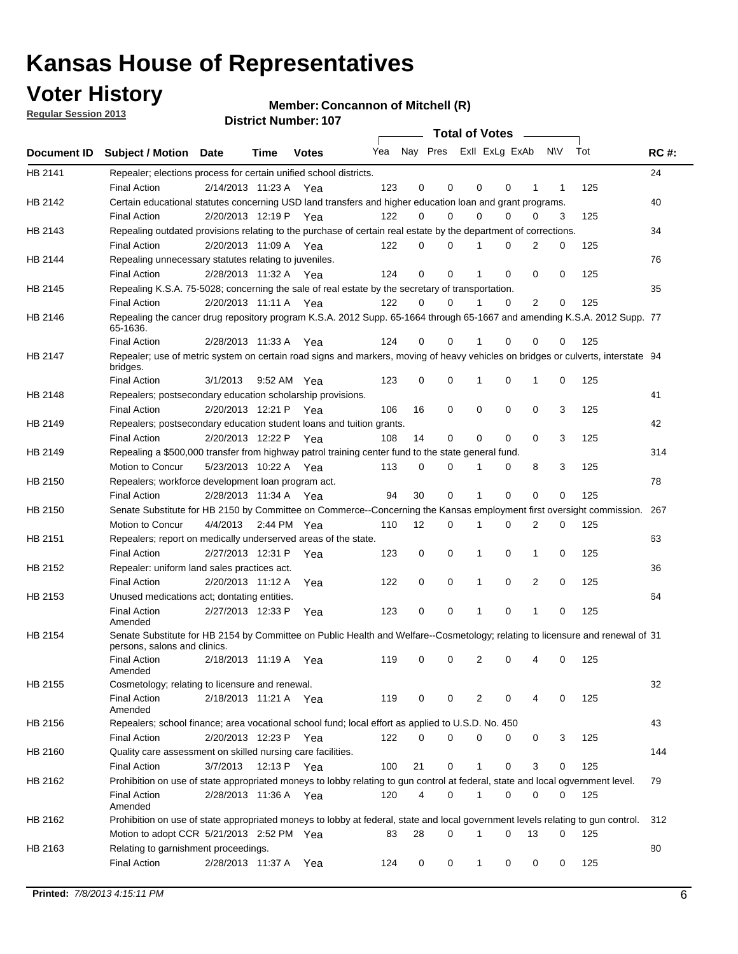## **Voter History**

**Regular Session 2013**

**Member: Concannon of Mitchell (R)** 

|             |                                                                                                                                              |          |                       |              |     |                         | <b>Total of Votes</b> |              |   | $\frac{1}{2}$  |           |     |             |
|-------------|----------------------------------------------------------------------------------------------------------------------------------------------|----------|-----------------------|--------------|-----|-------------------------|-----------------------|--------------|---|----------------|-----------|-----|-------------|
| Document ID | <b>Subject / Motion Date</b>                                                                                                                 |          | Time                  | <b>Votes</b> | Yea | Nay Pres Exll ExLg ExAb |                       |              |   |                | <b>NV</b> | Tot | <b>RC#:</b> |
| HB 2141     | Repealer; elections process for certain unified school districts.                                                                            |          |                       |              |     |                         |                       |              |   |                |           |     | 24          |
|             | <b>Final Action</b>                                                                                                                          |          | 2/14/2013 11:23 A     | Yea          | 123 | 0                       | 0                     | 0            | 0 | 1              | 1         | 125 |             |
| HB 2142     | Certain educational statutes concerning USD land transfers and higher education loan and grant programs.                                     |          |                       |              |     |                         |                       |              |   |                |           |     | 40          |
|             | <b>Final Action</b>                                                                                                                          |          | 2/20/2013 12:19 P     | Yea          | 122 | 0                       | 0                     | 0            | 0 | 0              | 3         | 125 |             |
| HB 2143     | Repealing outdated provisions relating to the purchase of certain real estate by the department of corrections.                              |          |                       |              |     |                         |                       |              |   |                |           |     | 34          |
|             | <b>Final Action</b>                                                                                                                          |          | 2/20/2013 11:09 A     | Yea          | 122 | 0                       | 0                     | 1            | 0 | $\overline{2}$ | 0         | 125 |             |
| HB 2144     | Repealing unnecessary statutes relating to juveniles.                                                                                        |          |                       |              |     |                         |                       |              |   |                |           |     | 76          |
|             | <b>Final Action</b>                                                                                                                          |          | 2/28/2013 11:32 A Yea |              | 124 | 0                       | 0                     | 1            | 0 | 0              | 0         | 125 |             |
| HB 2145     | Repealing K.S.A. 75-5028; concerning the sale of real estate by the secretary of transportation.                                             |          |                       |              |     |                         |                       |              |   |                |           |     | 35          |
|             | <b>Final Action</b>                                                                                                                          |          | 2/20/2013 11:11 A Yea |              | 122 | 0                       | 0                     |              | 0 | 2              | 0         | 125 |             |
| HB 2146     | Repealing the cancer drug repository program K.S.A. 2012 Supp. 65-1664 through 65-1667 and amending K.S.A. 2012 Supp. 77<br>65-1636.         |          |                       |              |     |                         |                       |              |   |                |           |     |             |
|             | <b>Final Action</b>                                                                                                                          |          | 2/28/2013 11:33 A     | Yea          | 124 | 0                       | 0                     |              | 0 | 0              | 0         | 125 |             |
| HB 2147     | Repealer; use of metric system on certain road signs and markers, moving of heavy vehicles on bridges or culverts, interstate 94<br>bridges. |          |                       |              |     |                         |                       |              |   |                |           |     |             |
|             | <b>Final Action</b>                                                                                                                          | 3/1/2013 |                       | 9:52 AM Yea  | 123 | 0                       | 0                     | 1            | 0 | 1              | 0         | 125 |             |
| HB 2148     | Repealers; postsecondary education scholarship provisions.                                                                                   |          |                       |              |     |                         |                       |              |   |                |           |     | 41          |
|             | <b>Final Action</b>                                                                                                                          |          | 2/20/2013 12:21 P     | Yea          | 106 | 16                      | 0                     | 0            | 0 | 0              | 3         | 125 |             |
| HB 2149     | Repealers; postsecondary education student loans and tuition grants.                                                                         |          |                       |              |     |                         |                       |              |   |                |           |     | 42          |
|             | <b>Final Action</b>                                                                                                                          |          | 2/20/2013 12:22 P     | Yea          | 108 | 14                      | 0                     | 0            | 0 | $\Omega$       | 3         | 125 |             |
| HB 2149     | Repealing a \$500,000 transfer from highway patrol training center fund to the state general fund.                                           |          |                       |              |     |                         |                       |              |   |                |           |     | 314         |
|             | Motion to Concur                                                                                                                             |          | 5/23/2013 10:22 A Yea |              | 113 | 0                       | 0                     |              | 0 | 8              | 3         | 125 |             |
| HB 2150     | Repealers; workforce development loan program act.                                                                                           |          |                       |              |     |                         |                       |              |   |                |           |     | 78          |
|             | <b>Final Action</b>                                                                                                                          |          | 2/28/2013 11:34 A     | Yea          | 94  | 30                      | 0                     | 1            | 0 | 0              | 0         | 125 |             |
| HB 2150     | Senate Substitute for HB 2150 by Committee on Commerce--Concerning the Kansas employment first oversight commission.                         |          |                       |              |     |                         |                       |              |   |                |           |     | 267         |
|             | Motion to Concur                                                                                                                             | 4/4/2013 |                       | 2:44 PM Yea  | 110 | 12                      | 0                     | 1            | 0 | 2              | 0         | 125 |             |
| HB 2151     | Repealers; report on medically underserved areas of the state.                                                                               |          |                       |              |     |                         |                       |              |   |                |           |     | 63          |
|             | Final Action                                                                                                                                 |          | 2/27/2013 12:31 P     | Yea          | 123 | 0                       | 0                     | 1            | 0 | 1              | 0         | 125 |             |
| HB 2152     | Repealer: uniform land sales practices act.                                                                                                  |          |                       |              |     |                         |                       |              |   |                |           |     | 36          |
|             | <b>Final Action</b>                                                                                                                          |          | 2/20/2013 11:12 A     | Yea          | 122 | 0                       | 0                     | 1            | 0 | 2              | 0         | 125 |             |
| HB 2153     | Unused medications act; dontating entities.                                                                                                  |          |                       |              |     |                         |                       |              |   |                |           |     | 64          |
|             | <b>Final Action</b><br>Amended                                                                                                               |          | 2/27/2013 12:33 P     | Yea          | 123 | 0                       | 0                     | 1            | 0 | 1              | 0         | 125 |             |
| HB 2154     | Senate Substitute for HB 2154 by Committee on Public Health and Welfare--Cosmetology; relating to licensure and renewal of 31                |          |                       |              |     |                         |                       |              |   |                |           |     |             |
|             | persons, salons and clinics.<br><b>Final Action</b><br>Amended                                                                               |          | 2/18/2013 11:19 A     | Yea          | 119 | 0                       | 0                     | 2            | 0 | 4              | 0         | 125 |             |
| HB 2155     | Cosmetology; relating to licensure and renewal.                                                                                              |          |                       |              |     |                         |                       |              |   |                |           |     | 32          |
|             | <b>Final Action</b><br>Amended                                                                                                               |          | 2/18/2013 11:21 A Yea |              | 119 | 0                       | 0                     | 2            | 0 | 4              | 0         | 125 |             |
| HB 2156     | Repealers; school finance; area vocational school fund; local effort as applied to U.S.D. No. 450                                            |          |                       |              |     |                         |                       |              |   |                |           |     | 43          |
|             | Final Action                                                                                                                                 |          | 2/20/2013 12:23 P     | Yea          | 122 | 0                       | 0                     | 0            | 0 | 0              | 3         | 125 |             |
| HB 2160     | Quality care assessment on skilled nursing care facilities.                                                                                  |          |                       |              |     |                         |                       |              |   |                |           |     | 144         |
|             | Final Action                                                                                                                                 | 3/7/2013 |                       | 12:13 P Yea  | 100 | 21                      | 0                     | $\mathbf{1}$ | 0 | 3              | 0         | 125 |             |
| HB 2162     | Prohibition on use of state appropriated moneys to lobby relating to gun control at federal, state and local ogvernment level.               |          |                       |              |     |                         |                       |              |   |                |           |     | 79          |
|             | <b>Final Action</b><br>Amended                                                                                                               |          | 2/28/2013 11:36 A Yea |              | 120 | 4                       | 0                     | 1            | 0 | 0              | 0         | 125 |             |
| HB 2162     | Prohibition on use of state appropriated moneys to lobby at federal, state and local government levels relating to gun control.              |          |                       |              |     |                         |                       |              |   |                |           |     | 312         |
|             | Motion to adopt CCR 5/21/2013 2:52 PM Yea                                                                                                    |          |                       |              | 83  | 28                      | $\Omega$              | 1            | 0 | 13             | 0         | 125 |             |
| HB 2163     | Relating to garnishment proceedings.                                                                                                         |          |                       |              |     |                         |                       |              |   |                |           |     | 80          |
|             | <b>Final Action</b>                                                                                                                          |          | 2/28/2013 11:37 A     | Yea          | 124 | 0                       | 0                     | $\mathbf{1}$ | 0 | 0              | 0         | 125 |             |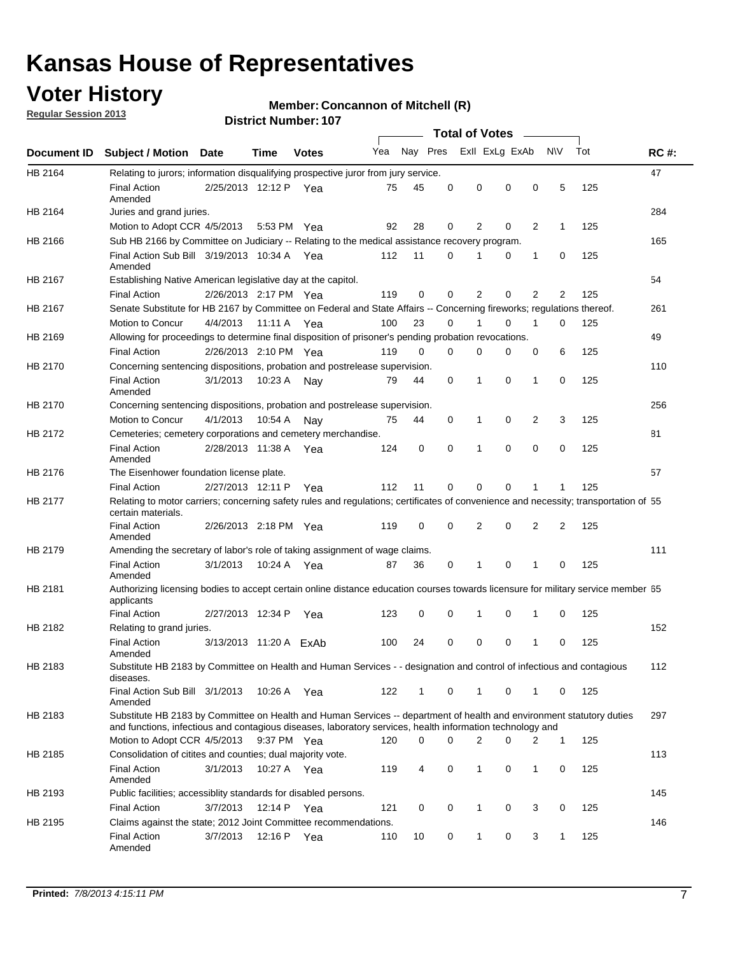## **Voter History**

**Regular Session 2013**

#### **Member: Concannon of Mitchell (R)**

|                |                                                                                                                                                                                                                                    |                        |         | <b>DISUILLINUIIIDEL. IUI</b> |     |              |          | Total of Votes – |          |   |              |     |             |
|----------------|------------------------------------------------------------------------------------------------------------------------------------------------------------------------------------------------------------------------------------|------------------------|---------|------------------------------|-----|--------------|----------|------------------|----------|---|--------------|-----|-------------|
| Document ID    | <b>Subject / Motion</b>                                                                                                                                                                                                            | Date                   | Time    | <b>Votes</b>                 | Yea | Nay Pres     |          | Exll ExLg ExAb   |          |   | <b>NV</b>    | Tot | <b>RC#:</b> |
| HB 2164        | Relating to jurors; information disqualifying prospective juror from jury service.                                                                                                                                                 |                        |         |                              |     |              |          |                  |          |   |              |     | 47          |
|                | <b>Final Action</b><br>Amended                                                                                                                                                                                                     | 2/25/2013 12:12 P Yea  |         |                              | 75  | 45           | 0        | $\mathbf 0$      | 0        | 0 | 5            | 125 |             |
| HB 2164        | Juries and grand juries.                                                                                                                                                                                                           |                        |         |                              |     |              |          |                  |          |   |              |     | 284         |
|                | Motion to Adopt CCR 4/5/2013                                                                                                                                                                                                       |                        |         | 5:53 PM Yea                  | 92  | 28           | 0        | 2                | 0        | 2 | $\mathbf{1}$ | 125 |             |
| HB 2166        | Sub HB 2166 by Committee on Judiciary -- Relating to the medical assistance recovery program.                                                                                                                                      |                        |         |                              |     |              |          |                  |          |   |              |     | 165         |
|                | Final Action Sub Bill 3/19/2013 10:34 A Yea<br>Amended                                                                                                                                                                             |                        |         |                              | 112 | 11           | 0        | 1                | 0        | 1 | 0            | 125 |             |
| HB 2167        | Establishing Native American legislative day at the capitol.                                                                                                                                                                       |                        |         |                              |     |              |          |                  |          |   |              |     | 54          |
|                | <b>Final Action</b>                                                                                                                                                                                                                | 2/26/2013 2:17 PM Yea  |         |                              | 119 | 0            | 0        | $\overline{2}$   | $\Omega$ | 2 | 2            | 125 |             |
| HB 2167        | Senate Substitute for HB 2167 by Committee on Federal and State Affairs -- Concerning fireworks; regulations thereof.                                                                                                              |                        |         |                              |     |              |          |                  |          |   |              |     | 261         |
|                | Motion to Concur                                                                                                                                                                                                                   | 4/4/2013 11:11 A Yea   |         |                              | 100 | 23           | 0        | 1                | 0        | 1 | 0            | 125 |             |
| HB 2169        | Allowing for proceedings to determine final disposition of prisoner's pending probation revocations.                                                                                                                               |                        |         |                              |     |              |          |                  |          |   |              |     | 49          |
|                | <b>Final Action</b>                                                                                                                                                                                                                | 2/26/2013 2:10 PM Yea  |         |                              | 119 | 0            | $\Omega$ | 0                | 0        | 0 | 6            | 125 |             |
| HB 2170        | Concerning sentencing dispositions, probation and postrelease supervision.                                                                                                                                                         |                        |         |                              |     |              |          |                  |          |   |              |     | 110         |
|                | <b>Final Action</b><br>Amended                                                                                                                                                                                                     | 3/1/2013               |         | 10:23 A Nay                  | 79  | 44           | 0        | 1                | 0        | 1 | 0            | 125 |             |
| HB 2170        | Concerning sentencing dispositions, probation and postrelease supervision.                                                                                                                                                         |                        |         |                              |     |              |          |                  |          |   |              |     | 256         |
|                | Motion to Concur                                                                                                                                                                                                                   | 4/1/2013               | 10:54 A | Nay                          | 75  | 44           | 0        | $\mathbf 1$      | 0        | 2 | 3            | 125 |             |
| HB 2172        | Cemeteries; cemetery corporations and cemetery merchandise.                                                                                                                                                                        |                        |         |                              |     |              |          |                  |          |   |              |     | 81          |
|                | <b>Final Action</b><br>Amended                                                                                                                                                                                                     | 2/28/2013 11:38 A      |         | Yea                          | 124 | 0            | 0        | 1                | $\Omega$ | 0 | 0            | 125 |             |
| HB 2176        | The Eisenhower foundation license plate.                                                                                                                                                                                           |                        |         |                              |     |              |          |                  |          |   |              |     | 57          |
|                | <b>Final Action</b>                                                                                                                                                                                                                | 2/27/2013 12:11 P      |         | Yea                          | 112 | 11           | 0        | 0                | 0        | 1 | 1            | 125 |             |
| <b>HB 2177</b> | Relating to motor carriers; concerning safety rules and regulations; certificates of convenience and necessity; transportation of 55<br>certain materials.                                                                         |                        |         |                              |     |              |          |                  |          |   |              |     |             |
|                | <b>Final Action</b><br>Amended                                                                                                                                                                                                     | 2/26/2013 2:18 PM Yea  |         |                              | 119 | 0            | 0        | $\overline{2}$   | 0        | 2 | 2            | 125 |             |
| HB 2179        | Amending the secretary of labor's role of taking assignment of wage claims.                                                                                                                                                        |                        |         |                              |     |              |          |                  |          |   |              |     | 111         |
|                | <b>Final Action</b><br>Amended                                                                                                                                                                                                     | 3/1/2013               |         | 10:24 A Yea                  | 87  | 36           | 0        | 1                | $\Omega$ | 1 | 0            | 125 |             |
| HB 2181        | Authorizing licensing bodies to accept certain online distance education courses towards licensure for military service member 55<br>applicants                                                                                    |                        |         |                              |     |              |          |                  |          |   |              |     |             |
|                | <b>Final Action</b>                                                                                                                                                                                                                | 2/27/2013 12:34 P      |         | Yea                          | 123 | 0            | 0        | 1                | 0        | 1 | 0            | 125 |             |
| HB 2182        | Relating to grand juries.                                                                                                                                                                                                          |                        |         |                              |     |              |          |                  |          |   |              |     | 152         |
|                | <b>Final Action</b><br>Amended                                                                                                                                                                                                     | 3/13/2013 11:20 A ExAb |         |                              | 100 | 24           | 0        | 0                | 0        | 1 | 0            | 125 |             |
| HB 2183        | Substitute HB 2183 by Committee on Health and Human Services - - designation and control of infectious and contagious<br>diseases.                                                                                                 |                        |         |                              |     |              |          |                  |          |   |              |     | 112         |
|                | Final Action Sub Bill 3/1/2013<br>Amended                                                                                                                                                                                          |                        |         | 10:26 A Yea                  | 122 | $\mathbf{1}$ | 0        | $\mathbf{1}$     | 0        | 1 | 0            | 125 |             |
| HB 2183        | Substitute HB 2183 by Committee on Health and Human Services -- department of health and environment statutory duties<br>and functions, infectious and contagious diseases, laboratory services, health information technology and |                        |         |                              |     |              |          |                  |          |   |              |     | 297         |
|                | Motion to Adopt CCR 4/5/2013                                                                                                                                                                                                       |                        |         | 9:37 PM Yea                  | 120 | 0            | 0        | 2                | 0        | 2 | $\mathbf{1}$ | 125 |             |
| HB 2185        | Consolidation of citites and counties; dual majority vote.                                                                                                                                                                         |                        |         |                              |     |              |          |                  |          |   |              |     | 113         |
|                | <b>Final Action</b><br>Amended                                                                                                                                                                                                     | 3/1/2013               |         | 10:27 A Yea                  | 119 | 4            | 0        | 1                | 0        | 1 | 0            | 125 |             |
| HB 2193        | Public facilities; accessiblity standards for disabled persons.                                                                                                                                                                    |                        |         |                              |     |              |          |                  |          |   |              |     | 145         |
|                | <b>Final Action</b>                                                                                                                                                                                                                | 3/7/2013               | 12:14 P | Yea                          | 121 | 0            | 0        | 1                | 0        | 3 | 0            | 125 |             |
| HB 2195        | Claims against the state; 2012 Joint Committee recommendations.                                                                                                                                                                    |                        |         |                              |     |              |          |                  |          |   |              |     | 146         |
|                | Final Action<br>Amended                                                                                                                                                                                                            | 3/7/2013               |         | 12:16 P Yea                  | 110 | 10           | 0        | $\mathbf{1}$     | 0        | 3 | 1            | 125 |             |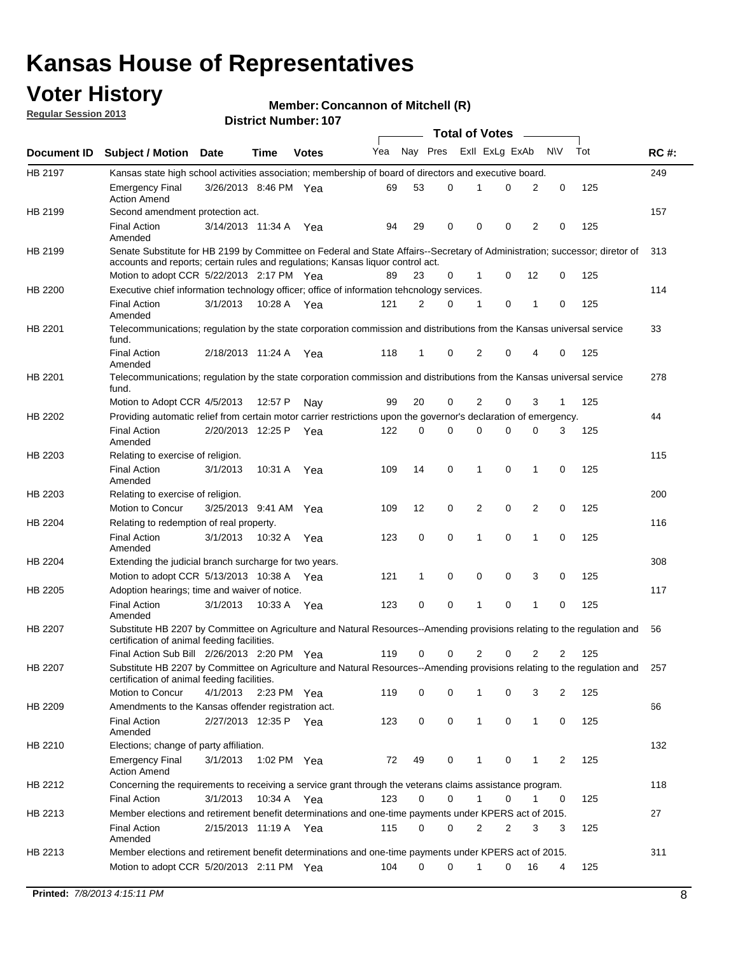## **Voter History**

**Member: Concannon of Mitchell (R)** 

**Regular Session 2013**

|             |                                                                                                                                                                                                                |                       |             |              |     |          |   | <b>Total of Votes</b> |             |              |                |     |             |
|-------------|----------------------------------------------------------------------------------------------------------------------------------------------------------------------------------------------------------------|-----------------------|-------------|--------------|-----|----------|---|-----------------------|-------------|--------------|----------------|-----|-------------|
| Document ID | <b>Subject / Motion Date</b>                                                                                                                                                                                   |                       | Time        | <b>Votes</b> | Yea | Nay Pres |   | Exll ExLg ExAb        |             |              | <b>NV</b>      | Tot | <b>RC#:</b> |
| HB 2197     | Kansas state high school activities association; membership of board of directors and executive board.                                                                                                         |                       |             |              |     |          |   |                       |             |              |                |     | 249         |
|             | <b>Emergency Final</b><br><b>Action Amend</b>                                                                                                                                                                  | 3/26/2013 8:46 PM Yea |             |              | 69  | 53       | 0 |                       | 0           | 2            | 0              | 125 |             |
| HB 2199     | Second amendment protection act.                                                                                                                                                                               |                       |             |              |     |          |   |                       |             |              |                |     | 157         |
|             | <b>Final Action</b><br>Amended                                                                                                                                                                                 | 3/14/2013 11:34 A     |             | Yea          | 94  | 29       | 0 | 0                     | 0           | 2            | 0              | 125 |             |
| HB 2199     | Senate Substitute for HB 2199 by Committee on Federal and State Affairs--Secretary of Administration; successor; diretor of<br>accounts and reports; certain rules and regulations; Kansas liquor control act. |                       |             |              |     |          |   |                       |             |              |                |     | 313         |
|             | Motion to adopt CCR 5/22/2013 2:17 PM Yea                                                                                                                                                                      |                       |             |              | 89  | 23       | 0 | 1                     | 0           | 12           | 0              | 125 |             |
| HB 2200     | Executive chief information technology officer; office of information tehcnology services.                                                                                                                     |                       |             |              |     |          |   |                       |             |              |                |     | 114         |
|             | <b>Final Action</b><br>Amended                                                                                                                                                                                 | 3/1/2013              | 10:28 A     | Yea          | 121 | 2        | 0 | 1                     | 0           | 1            | 0              | 125 |             |
| HB 2201     | Telecommunications; regulation by the state corporation commission and distributions from the Kansas universal service<br>fund.                                                                                |                       |             |              |     |          |   |                       |             |              |                |     | 33          |
|             | <b>Final Action</b><br>Amended                                                                                                                                                                                 | 2/18/2013 11:24 A     |             | Yea          | 118 | 1        | 0 | 2                     | 0           | 4            | 0              | 125 |             |
| HB 2201     | Telecommunications; regulation by the state corporation commission and distributions from the Kansas universal service<br>fund.                                                                                |                       |             |              |     |          |   |                       |             |              |                |     | 278         |
|             | Motion to Adopt CCR 4/5/2013                                                                                                                                                                                   |                       | 12:57 P     | Nav          | 99  | 20       | 0 | $\overline{2}$        | 0           | 3            | 1              | 125 |             |
| HB 2202     | Providing automatic relief from certain motor carrier restrictions upon the governor's declaration of emergency.                                                                                               |                       |             |              |     |          |   |                       |             |              |                |     | 44          |
|             | <b>Final Action</b><br>Amended                                                                                                                                                                                 | 2/20/2013 12:25 P     |             | Yea          | 122 | 0        | 0 | 0                     | 0           | 0            | 3              | 125 |             |
| HB 2203     | Relating to exercise of religion.                                                                                                                                                                              |                       |             |              |     |          |   |                       |             |              |                |     | 115         |
|             | <b>Final Action</b><br>Amended                                                                                                                                                                                 | 3/1/2013              | 10:31 A     | Yea          | 109 | 14       | 0 | 1                     | 0           | $\mathbf{1}$ | $\mathbf 0$    | 125 |             |
| HB 2203     | Relating to exercise of religion.                                                                                                                                                                              |                       |             |              |     |          |   |                       |             |              |                |     | 200         |
|             | Motion to Concur                                                                                                                                                                                               | 3/25/2013 9:41 AM Yea |             |              | 109 | 12       | 0 | 2                     | $\mathbf 0$ | 2            | 0              | 125 |             |
| HB 2204     | Relating to redemption of real property.                                                                                                                                                                       |                       |             |              |     |          |   |                       |             |              |                |     | 116         |
|             | <b>Final Action</b><br>Amended                                                                                                                                                                                 | 3/1/2013              | 10:32 A     | Yea          | 123 | 0        | 0 | $\mathbf{1}$          | $\mathbf 0$ | $\mathbf{1}$ | 0              | 125 |             |
| HB 2204     | Extending the judicial branch surcharge for two years.                                                                                                                                                         |                       |             |              |     |          |   |                       |             |              |                |     | 308         |
|             | Motion to adopt CCR 5/13/2013 10:38 A Yea                                                                                                                                                                      |                       |             |              | 121 | 1        | 0 | 0                     | 0           | 3            | $\mathbf 0$    | 125 |             |
| HB 2205     | Adoption hearings; time and waiver of notice.                                                                                                                                                                  |                       |             |              |     |          |   |                       |             |              |                |     | 117         |
|             | <b>Final Action</b><br>Amended                                                                                                                                                                                 | 3/1/2013              | 10:33 A     | Yea          | 123 | 0        | 0 | 1                     | $\mathbf 0$ | 1            | 0              | 125 |             |
| HB 2207     | Substitute HB 2207 by Committee on Agriculture and Natural Resources--Amending provisions relating to the regulation and<br>certification of animal feeding facilities.                                        |                       |             |              |     |          |   |                       |             |              |                |     | 56          |
|             | Final Action Sub Bill 2/26/2013 2:20 PM Yea                                                                                                                                                                    |                       |             |              | 119 | 0        | 0 | $\overline{2}$        | 0           | 2            | $\overline{2}$ | 125 |             |
| HB 2207     | Substitute HB 2207 by Committee on Agriculture and Natural Resources--Amending provisions relating to the regulation and<br>certification of animal feeding facilities.                                        |                       |             |              |     |          |   |                       |             |              |                |     | 257         |
|             | Motion to Concur                                                                                                                                                                                               | 4/1/2013              | 2:23 PM Yea |              | 119 | 0        | 0 | 1                     | 0           | 3            | 2              | 125 |             |
| HB 2209     | Amendments to the Kansas offender registration act.                                                                                                                                                            |                       |             |              |     |          |   |                       |             |              |                |     | 66          |
|             | <b>Final Action</b><br>Amended                                                                                                                                                                                 | 2/27/2013 12:35 P Yea |             |              | 123 | 0        | 0 | $\mathbf{1}$          | 0           | $\mathbf{1}$ | 0              | 125 |             |
| HB 2210     | Elections; change of party affiliation.                                                                                                                                                                        |                       |             |              |     |          |   |                       |             |              |                |     | 132         |
|             | <b>Emergency Final</b><br><b>Action Amend</b>                                                                                                                                                                  | 3/1/2013              | 1:02 PM Yea |              | 72  | 49       | 0 | 1                     | 0           | 1            | 2              | 125 |             |
| HB 2212     | Concerning the requirements to receiving a service grant through the veterans claims assistance program.                                                                                                       |                       |             |              |     |          |   |                       |             |              |                |     | 118         |
|             | <b>Final Action</b>                                                                                                                                                                                            | 3/1/2013              | 10:34 A Yea |              | 123 | 0        | 0 | $\mathbf 1$           | 0           | 1            | 0              | 125 |             |
| HB 2213     | Member elections and retirement benefit determinations and one-time payments under KPERS act of 2015.                                                                                                          |                       |             |              |     |          |   |                       |             |              |                |     | 27          |
|             | <b>Final Action</b><br>Amended                                                                                                                                                                                 | 2/15/2013 11:19 A Yea |             |              | 115 | 0        | 0 | 2                     | 2           | 3            | 3              | 125 |             |
| HB 2213     | Member elections and retirement benefit determinations and one-time payments under KPERS act of 2015.                                                                                                          |                       |             |              |     |          |   |                       |             |              |                |     | 311         |
|             | Motion to adopt CCR 5/20/2013 2:11 PM Yea                                                                                                                                                                      |                       |             |              | 104 | 0        | 0 | 1                     | 0           | 16           | 4              | 125 |             |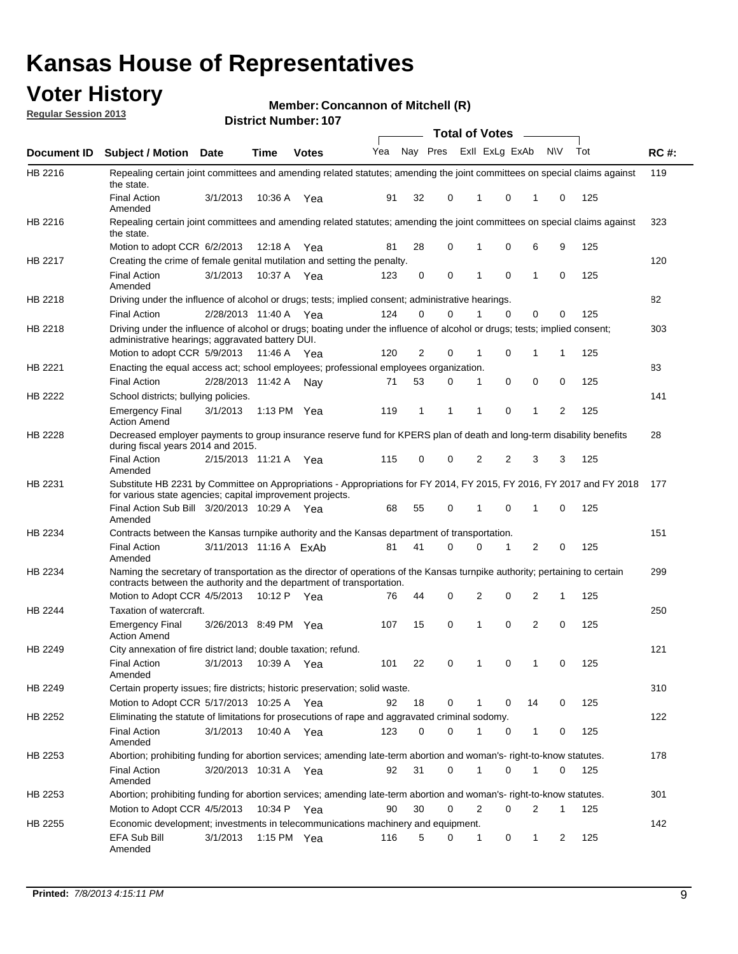## **Voter History**

**Member: Concannon of Mitchell (R)** 

**Regular Session 2013**

|                |                                                                                                                                                                                                       |                        |             | <b>DISTRICT NUMBER: 107</b> |     |          |   |          |                                    |              |           |     |             |
|----------------|-------------------------------------------------------------------------------------------------------------------------------------------------------------------------------------------------------|------------------------|-------------|-----------------------------|-----|----------|---|----------|------------------------------------|--------------|-----------|-----|-------------|
| Document ID    | <b>Subject / Motion</b>                                                                                                                                                                               | Date                   | Time        | <b>Votes</b>                | Yea | Nay Pres |   |          | Total of Votes –<br>Exll ExLg ExAb |              | <b>NV</b> | Tot | <b>RC#:</b> |
| HB 2216        | Repealing certain joint committees and amending related statutes; amending the joint committees on special claims against<br>the state.                                                               |                        |             |                             |     |          |   |          |                                    |              |           |     | 119         |
|                | <b>Final Action</b><br>Amended                                                                                                                                                                        | 3/1/2013               | 10:36 A     | Yea                         | 91  | 32       | 0 | 1        | 0                                  | 1            | 0         | 125 |             |
| HB 2216        | Repealing certain joint committees and amending related statutes; amending the joint committees on special claims against<br>the state.                                                               |                        |             |                             |     |          |   |          |                                    |              |           |     | 323         |
|                | Motion to adopt CCR 6/2/2013                                                                                                                                                                          |                        | 12:18 A     | Yea                         | 81  | 28       | 0 | 1        | 0                                  | 6            | 9         | 125 |             |
| <b>HB 2217</b> | Creating the crime of female genital mutilation and setting the penalty.                                                                                                                              |                        |             |                             |     |          |   |          |                                    |              |           |     | 120         |
|                | <b>Final Action</b><br>Amended                                                                                                                                                                        | 3/1/2013               | 10:37 A Yea |                             | 123 | 0        | 0 | 1        | $\mathbf 0$                        | $\mathbf{1}$ | 0         | 125 |             |
| HB 2218        | Driving under the influence of alcohol or drugs; tests; implied consent; administrative hearings.                                                                                                     |                        |             |                             |     |          |   |          |                                    |              |           |     | 82          |
|                | <b>Final Action</b>                                                                                                                                                                                   | 2/28/2013 11:40 A Yea  |             |                             | 124 | 0        | 0 | 1        | $\Omega$                           | 0            | 0         | 125 |             |
| HB 2218        | Driving under the influence of alcohol or drugs; boating under the influence of alcohol or drugs; tests; implied consent;<br>administrative hearings; aggravated battery DUI.                         |                        |             |                             |     |          |   |          |                                    |              |           |     | 303         |
|                | Motion to adopt CCR 5/9/2013                                                                                                                                                                          |                        | 11:46 A     | Yea                         | 120 | 2        | 0 | 1        | 0                                  | 1            | 1         | 125 |             |
| HB 2221        | Enacting the equal access act; school employees; professional employees organization.                                                                                                                 |                        |             |                             |     |          |   |          |                                    |              |           |     | 83          |
|                | <b>Final Action</b>                                                                                                                                                                                   | 2/28/2013 11:42 A      |             | Nav                         | 71  | 53       | 0 | 1        | 0                                  | 0            | 0         | 125 |             |
| HB 2222        | School districts; bullying policies.<br><b>Emergency Final</b>                                                                                                                                        | 3/1/2013               |             | 1:13 PM Yea                 | 119 | 1        | 1 | 1        | 0                                  | 1            | 2         | 125 | 141         |
| HB 2228        | <b>Action Amend</b><br>Decreased employer payments to group insurance reserve fund for KPERS plan of death and long-term disability benefits                                                          |                        |             |                             |     |          |   |          |                                    |              |           |     | 28          |
|                | during fiscal years 2014 and 2015.                                                                                                                                                                    |                        |             |                             |     |          |   |          |                                    |              |           |     |             |
|                | <b>Final Action</b><br>Amended                                                                                                                                                                        | 2/15/2013 11:21 A      |             | Yea                         | 115 | 0        | 0 | 2        | 2                                  | 3            | 3         | 125 |             |
| HB 2231        | Substitute HB 2231 by Committee on Appropriations - Appropriations for FY 2014, FY 2015, FY 2016, FY 2017 and FY 2018<br>for various state agencies; capital improvement projects.                    |                        |             |                             |     |          |   |          |                                    |              |           |     | 177         |
|                | Final Action Sub Bill 3/20/2013 10:29 A<br>Amended                                                                                                                                                    |                        |             | Yea                         | 68  | 55       | 0 |          | 0                                  | 1            | 0         | 125 |             |
| HB 2234        | Contracts between the Kansas turnpike authority and the Kansas department of transportation.                                                                                                          |                        |             |                             |     |          |   |          |                                    |              |           |     | 151         |
|                | <b>Final Action</b><br>Amended                                                                                                                                                                        | 3/11/2013 11:16 A ExAb |             |                             | 81  | 41       | 0 | $\Omega$ | 1                                  | 2            | 0         | 125 |             |
| HB 2234        | Naming the secretary of transportation as the director of operations of the Kansas turnpike authority; pertaining to certain<br>contracts between the authority and the department of transportation. |                        |             |                             |     |          |   |          |                                    |              |           |     | 299         |
|                | Motion to Adopt CCR 4/5/2013                                                                                                                                                                          |                        | 10:12 P     | Yea                         | 76  | 44       | 0 | 2        | 0                                  | 2            | 1         | 125 |             |
| HB 2244        | Taxation of watercraft.<br><b>Emergency Final</b>                                                                                                                                                     | 3/26/2013 8:49 PM Yea  |             |                             | 107 | 15       | 0 | 1        | 0                                  | 2            | 0         | 125 | 250         |
|                | <b>Action Amend</b>                                                                                                                                                                                   |                        |             |                             |     |          |   |          |                                    |              |           |     |             |
| HB 2249        | City annexation of fire district land; double taxation; refund.                                                                                                                                       |                        |             |                             |     |          |   |          |                                    |              |           |     | 121         |
|                | <b>Final Action</b><br>Amended                                                                                                                                                                        | 3/1/2013 10:39 A Yea   |             |                             | 101 | 22       | 0 |          | $\mathbf 0$                        |              | 0         | 125 |             |
| HB 2249        | Certain property issues; fire districts; historic preservation; solid waste.                                                                                                                          |                        |             |                             |     |          |   |          |                                    |              |           |     | 310         |
|                | Motion to Adopt CCR 5/17/2013 10:25 A Yea                                                                                                                                                             |                        |             |                             | 92  | 18       | 0 | 1        | 0                                  | 14           | 0         | 125 |             |
| HB 2252        | Eliminating the statute of limitations for prosecutions of rape and aggravated criminal sodomy.                                                                                                       |                        |             |                             |     |          |   |          |                                    |              |           |     | 122         |
|                | <b>Final Action</b><br>Amended                                                                                                                                                                        | 3/1/2013               |             | 10:40 A Yea                 | 123 | 0        | 0 | 1        | 0                                  | 1            | 0         | 125 |             |
| HB 2253        | Abortion; prohibiting funding for abortion services; amending late-term abortion and woman's- right-to-know statutes.                                                                                 |                        |             |                             |     |          |   |          |                                    |              |           |     | 178         |
|                | <b>Final Action</b><br>Amended                                                                                                                                                                        | 3/20/2013 10:31 A Yea  |             |                             | 92  | 31       | 0 | 1        | 0                                  | 1            | 0         | 125 |             |
| HB 2253        | Abortion; prohibiting funding for abortion services; amending late-term abortion and woman's- right-to-know statutes.                                                                                 |                        |             |                             |     |          |   |          |                                    |              |           |     | 301         |
|                | Motion to Adopt CCR 4/5/2013                                                                                                                                                                          |                        | 10:34 P     | Yea                         | 90  | 30       | 0 | 2        | 0                                  | 2            | 1         | 125 |             |
| HB 2255        | Economic development; investments in telecommunications machinery and equipment.                                                                                                                      |                        |             |                             |     |          |   |          |                                    |              |           |     | 142         |
|                | EFA Sub Bill<br>Amended                                                                                                                                                                               | 3/1/2013               |             | 1:15 PM $Yea$               | 116 | 5        | 0 | 1        | 0                                  | 1            | 2         | 125 |             |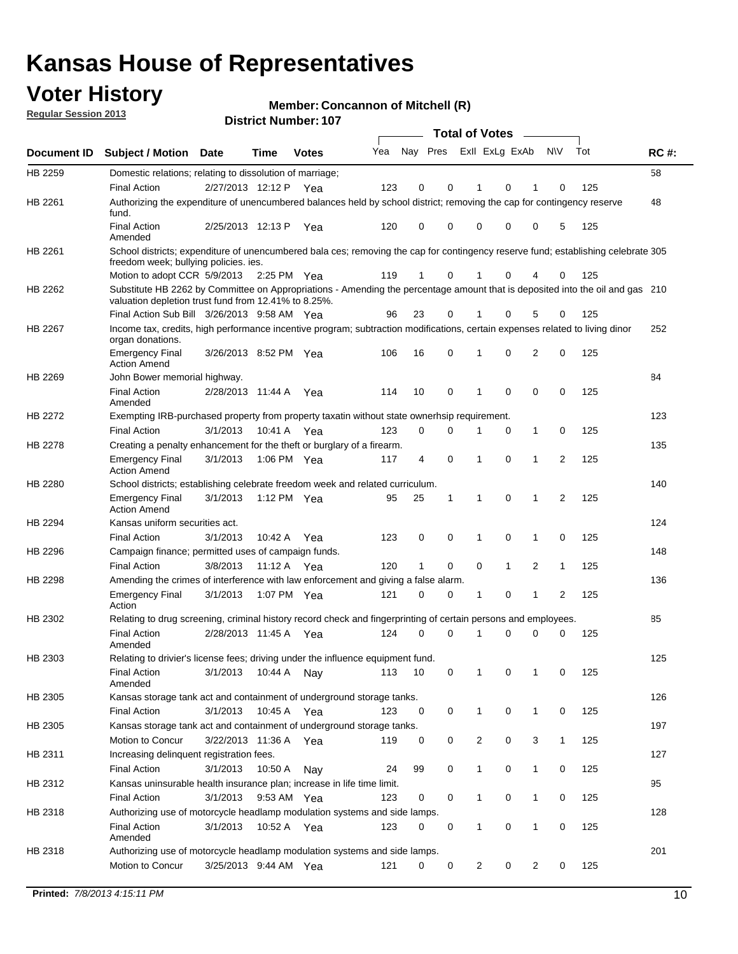## **Voter History**

**Member: Concannon of Mitchell (R)** 

**Regular Session 2013**

|                    |                                                                                                                                                                                       |                       |             | <b>DISUILLINUIIIDEL. IUI</b> |     |                         |             | Total of Votes - |              |                |                |     |             |
|--------------------|---------------------------------------------------------------------------------------------------------------------------------------------------------------------------------------|-----------------------|-------------|------------------------------|-----|-------------------------|-------------|------------------|--------------|----------------|----------------|-----|-------------|
| <b>Document ID</b> | <b>Subject / Motion</b>                                                                                                                                                               | <b>Date</b>           | Time        | <b>Votes</b>                 | Yea | Nay Pres ExII ExLg ExAb |             |                  |              |                | <b>NV</b>      | Tot | <b>RC#:</b> |
| HB 2259            | Domestic relations; relating to dissolution of marriage;                                                                                                                              |                       |             |                              |     |                         |             |                  |              |                |                |     | 58          |
|                    | <b>Final Action</b>                                                                                                                                                                   | 2/27/2013 12:12 P Yea |             |                              | 123 | 0                       | 0           | 1                | 0            | 1              | 0              | 125 |             |
| HB 2261            | Authorizing the expenditure of unencumbered balances held by school district; removing the cap for contingency reserve<br>fund.                                                       |                       |             |                              |     |                         |             |                  |              |                |                |     | 48          |
|                    | <b>Final Action</b><br>Amended                                                                                                                                                        | 2/25/2013 12:13 P     |             | Yea                          | 120 | 0                       | 0           | 0                | 0            | 0              | 5              | 125 |             |
| HB 2261            | School districts; expenditure of unencumbered bala ces; removing the cap for contingency reserve fund; establishing celebrate 305                                                     |                       |             |                              |     |                         |             |                  |              |                |                |     |             |
|                    | freedom week; bullying policies. ies.                                                                                                                                                 |                       |             |                              |     |                         |             |                  |              |                |                |     |             |
|                    | Motion to adopt CCR 5/9/2013                                                                                                                                                          |                       | 2:25 PM Yea |                              | 119 | 1                       | 0           | 1                | 0            | 4              | 0              | 125 |             |
| HB 2262            | Substitute HB 2262 by Committee on Appropriations - Amending the percentage amount that is deposited into the oil and gas 210<br>valuation depletion trust fund from 12.41% to 8.25%. |                       |             |                              |     |                         |             |                  |              |                |                |     |             |
|                    | Final Action Sub Bill 3/26/2013 9:58 AM Yea                                                                                                                                           |                       |             |                              | 96  | 23                      | 0           |                  | 0            | 5              | 0              | 125 |             |
| HB 2267            | Income tax, credits, high performance incentive program; subtraction modifications, certain expenses related to living dinor<br>organ donations.                                      |                       |             |                              |     |                         |             |                  |              |                |                |     | 252         |
|                    | <b>Emergency Final</b><br><b>Action Amend</b>                                                                                                                                         | 3/26/2013 8:52 PM Yea |             |                              | 106 | 16                      | 0           | 1                | 0            | $\overline{2}$ | 0              | 125 |             |
| HB 2269            | John Bower memorial highway.                                                                                                                                                          |                       |             |                              |     |                         |             |                  |              |                |                |     | 84          |
|                    | <b>Final Action</b><br>Amended                                                                                                                                                        | 2/28/2013 11:44 A Yea |             |                              | 114 | 10                      | 0           | 1                | 0            | 0              | 0              | 125 |             |
| HB 2272            | Exempting IRB-purchased property from property taxatin without state ownerhsip requirement.                                                                                           |                       |             |                              |     |                         |             |                  |              |                |                |     | 123         |
|                    | <b>Final Action</b>                                                                                                                                                                   | 3/1/2013              | 10:41 A Yea |                              | 123 | 0                       | 0           | 1                | 0            | $\mathbf 1$    | 0              | 125 |             |
| <b>HB 2278</b>     | Creating a penalty enhancement for the theft or burglary of a firearm.                                                                                                                |                       |             |                              |     |                         |             |                  |              |                |                |     | 135         |
|                    | Emergency Final<br><b>Action Amend</b>                                                                                                                                                | 3/1/2013              | 1:06 PM Yea |                              | 117 | 4                       | $\mathbf 0$ | 1                | 0            | $\mathbf 1$    | 2              | 125 |             |
| HB 2280            | School districts; establishing celebrate freedom week and related curriculum.                                                                                                         |                       |             |                              |     |                         |             |                  |              |                |                |     | 140         |
|                    | <b>Emergency Final</b><br>Action Amend                                                                                                                                                | 3/1/2013              | 1:12 PM Yea |                              | 95  | 25                      | 1           | 1                | 0            | 1              | $\overline{2}$ | 125 |             |
| HB 2294            | Kansas uniform securities act.                                                                                                                                                        |                       |             |                              |     |                         |             |                  |              |                |                |     | 124         |
|                    | <b>Final Action</b>                                                                                                                                                                   | 3/1/2013              | 10:42 A     | Yea                          | 123 | 0                       | 0           | 1                | 0            | 1              | 0              | 125 |             |
| HB 2296            | Campaign finance; permitted uses of campaign funds.                                                                                                                                   |                       |             |                              |     |                         |             |                  |              |                |                |     | 148         |
|                    | <b>Final Action</b>                                                                                                                                                                   | 3/8/2013              | 11:12 A Yea |                              | 120 | $\mathbf{1}$            | 0           | 0                | $\mathbf{1}$ | 2              | $\mathbf{1}$   | 125 |             |
| HB 2298            | Amending the crimes of interference with law enforcement and giving a false alarm.                                                                                                    |                       |             |                              |     |                         |             |                  |              |                |                |     | 136         |
|                    | <b>Emergency Final</b><br>Action                                                                                                                                                      | 3/1/2013              | 1:07 PM Yea |                              | 121 | 0                       | 0           | 1                | 0            | 1              | 2              | 125 |             |
| HB 2302            | Relating to drug screening, criminal history record check and fingerprinting of certain persons and employees.                                                                        |                       |             |                              |     |                         |             |                  |              |                |                |     | 85          |
|                    | <b>Final Action</b><br>Amended                                                                                                                                                        | 2/28/2013 11:45 A Yea |             |                              | 124 | 0                       | 0           | 1                | 0            | 0              | 0              | 125 |             |
| HB 2303            | Relating to drivier's license fees; driving under the influence equipment fund.                                                                                                       |                       |             |                              |     |                         |             |                  |              |                |                |     | 125         |
|                    | <b>Final Action</b><br>Amended                                                                                                                                                        | 3/1/2013              | 10:44 A     | Nay                          | 113 | 10                      | 0           |                  | 0            |                | 0              | 125 |             |
| HB 2305            | Kansas storage tank act and containment of underground storage tanks.                                                                                                                 |                       |             |                              |     |                         |             |                  |              |                |                |     | 126         |
|                    | <b>Final Action</b>                                                                                                                                                                   | 3/1/2013              | 10:45 A     | Yea                          | 123 | 0                       | 0           | $\mathbf{1}$     | 0            | $\mathbf{1}$   | 0              | 125 |             |
| HB 2305            | Kansas storage tank act and containment of underground storage tanks.                                                                                                                 |                       |             |                              |     |                         |             |                  |              |                |                |     | 197         |
|                    | Motion to Concur                                                                                                                                                                      | 3/22/2013 11:36 A     |             | Yea                          | 119 | 0                       | 0           | $\overline{c}$   | 0            | 3              | 1              | 125 |             |
| HB 2311            | Increasing delinquent registration fees.                                                                                                                                              |                       |             |                              |     |                         |             |                  |              |                |                |     | 127         |
|                    | <b>Final Action</b>                                                                                                                                                                   | 3/1/2013              | 10:50 A     | Nay                          | 24  | 99                      | 0           | 1                | 0            | $\mathbf{1}$   | 0              | 125 |             |
| HB 2312            | Kansas uninsurable health insurance plan; increase in life time limit.                                                                                                                |                       |             |                              |     |                         |             |                  |              |                |                |     | 95          |
|                    | <b>Final Action</b>                                                                                                                                                                   | 3/1/2013              | 9:53 AM Yea |                              | 123 | 0                       | 0           | 1                | 0            | $\mathbf{1}$   | 0              | 125 |             |
| HB 2318            | Authorizing use of motorcycle headlamp modulation systems and side lamps.                                                                                                             |                       |             |                              |     |                         |             |                  |              |                |                |     | 128         |
|                    | <b>Final Action</b><br>Amended                                                                                                                                                        | 3/1/2013              | 10:52 A     | Yea                          | 123 | 0                       | 0           | 1                | 0            | 1              | 0              | 125 |             |
| HB 2318            | Authorizing use of motorcycle headlamp modulation systems and side lamps.                                                                                                             |                       |             |                              |     |                         |             |                  |              |                |                |     | 201         |
|                    | Motion to Concur                                                                                                                                                                      | 3/25/2013 9:44 AM Yea |             |                              | 121 | 0                       | 0           | 2                | 0            | 2              | 0              | 125 |             |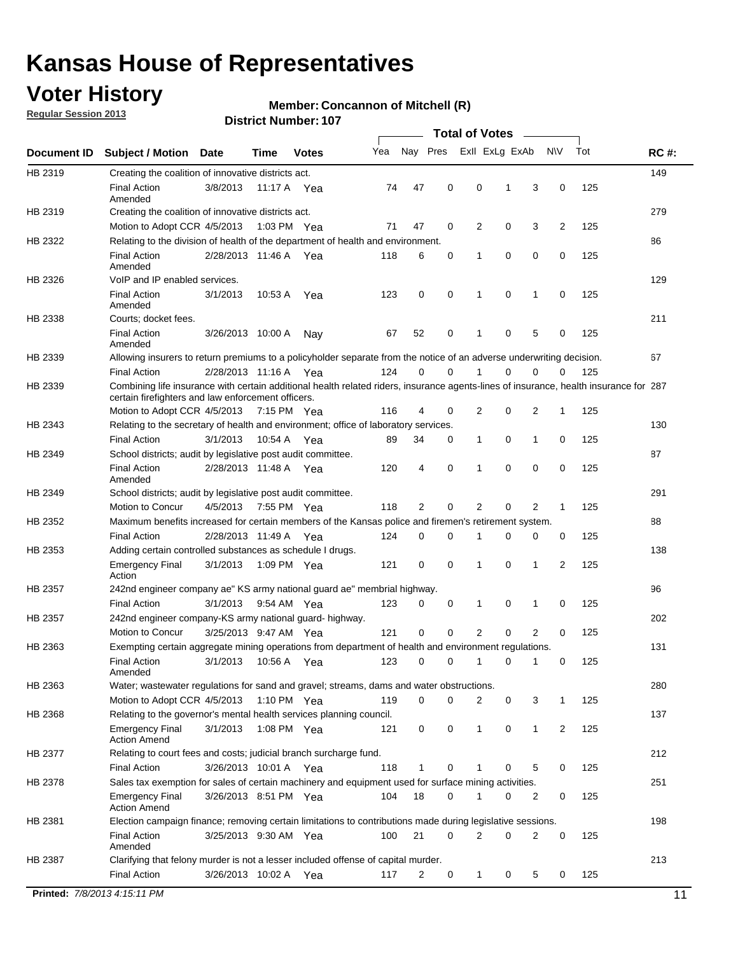## **Voter History**

**Regular Session 2013**

#### **Member: Concannon of Mitchell (R)**

| Nay Pres<br>Exll ExLg ExAb<br>Tot<br>Yea<br><b>NV</b><br><b>RC#:</b><br>Document ID<br><b>Subject / Motion</b><br><b>Date</b><br>Time<br><b>Votes</b><br>149<br>HB 2319<br>Creating the coalition of innovative districts act.<br>47<br>0<br>0<br>125<br><b>Final Action</b><br>3/8/2013<br>3<br>0<br>11:17 A<br>74<br>1<br>Yea<br>Amended<br>279<br>HB 2319<br>Creating the coalition of innovative districts act.<br>47<br>0<br>2<br>0<br>3<br>2<br>125<br>Motion to Adopt CCR 4/5/2013<br>1:03 PM Yea<br>71<br>HB 2322<br>Relating to the division of health of the department of health and environment.<br>86<br>0<br>0<br>0<br>125<br><b>Final Action</b><br>2/28/2013 11:46 A Yea<br>118<br>6<br>0<br>1<br>Amended<br>VoIP and IP enabled services.<br>129<br>HB 2326<br>$\mathbf 0$<br>$\mathbf 0$<br><b>Final Action</b><br>3/1/2013<br>123<br>0<br>1<br>$\mathbf 0$<br>125<br>10:53 A<br>1<br>Yea<br>Amended<br>211<br>HB 2338<br>Courts; docket fees.<br><b>Final Action</b><br>125<br>52<br>0<br>$\mathbf 1$<br>0<br>5<br>0<br>3/26/2013 10:00 A<br>67<br>Nav<br>Amended<br>67<br>HB 2339<br>Allowing insurers to return premiums to a policyholder separate from the notice of an adverse underwriting decision.<br>0<br>2/28/2013 11:16 A Yea<br>124<br>0<br>1<br>0<br>0<br>125<br><b>Final Action</b><br>0<br>Combining life insurance with certain additional health related riders, insurance agents-lines of insurance, health insurance for 287<br>HB 2339<br>certain firefighters and law enforcement officers.<br>2<br>0<br>125<br>Motion to Adopt CCR 4/5/2013 7:15 PM Yea<br>116<br>4<br>0<br>2<br>1<br>HB 2343<br>Relating to the secretary of health and environment; office of laboratory services.<br>130<br><b>Final Action</b><br>0<br>125<br>3/1/2013<br>10:54 A Yea<br>89<br>34<br>0<br>$\mathbf{1}$<br>1<br>0<br>87<br>HB 2349<br>School districts; audit by legislative post audit committee.<br>$\Omega$<br>4<br>0<br>$\Omega$<br>0<br>125<br><b>Final Action</b><br>2/28/2013 11:48 A Yea<br>120<br>1<br>Amended<br>291<br>HB 2349<br>School districts; audit by legislative post audit committee.<br>Motion to Concur<br>4/5/2013<br>7:55 PM Yea<br>118<br>2<br>0<br>2<br>0<br>2<br>125<br>1<br>HB 2352<br>Maximum benefits increased for certain members of the Kansas police and firemen's retirement system.<br>88<br><b>Final Action</b><br>0<br>125<br>2/28/2013 11:49 A<br>124<br>0<br>1<br>0<br>0<br>0<br>Yea<br>138<br>HB 2353<br>Adding certain controlled substances as schedule I drugs.<br>$\mathbf 0$<br>$\mathbf 0$<br>0<br>2<br>125<br><b>Emergency Final</b><br>3/1/2013<br>1:09 PM Yea<br>121<br>1<br>1<br>Action<br>96<br>HB 2357<br>242nd engineer company ae" KS army national guard ae" membrial highway.<br>3/1/2013<br>0<br>125<br><b>Final Action</b><br>9:54 AM Yea<br>123<br>0<br>0<br>1<br>0<br>1<br>202<br>HB 2357<br>242nd engineer company-KS army national guard- highway.<br>$\mathbf 0$<br>$\mathbf 0$<br>$\overline{2}$<br>$\mathbf 0$<br>$\overline{2}$<br>3/25/2013 9:47 AM Yea<br>121<br>0<br>125<br>Motion to Concur<br>131<br>HB 2363<br>Exempting certain aggregate mining operations from department of health and environment regulations.<br>3/1/2013<br>10:56 A<br>123<br>0<br>125<br><b>Final Action</b><br>0<br>1<br>0<br>1<br>0<br>Yea<br>Amended<br>HB 2363<br>Water; wastewater regulations for sand and gravel; streams, dams and water obstructions.<br>280<br>Motion to Adopt CCR 4/5/2013<br>119<br>0<br>0<br>2<br>3<br>125<br>1:10 PM $Yea$<br>0<br>1<br>HB 2368<br>Relating to the governor's mental health services planning council.<br>137<br>0<br>0<br><b>Emergency Final</b><br>3/1/2013<br>1:08 PM Yea<br>121<br>0<br>$\mathbf{1}$<br>1<br>2<br>125<br><b>Action Amend</b><br>HB 2377<br>Relating to court fees and costs; judicial branch surcharge fund.<br>212<br>3/26/2013 10:01 A Yea<br>118<br>0<br>125<br><b>Final Action</b><br>1<br>0<br>5<br>0<br>Sales tax exemption for sales of certain machinery and equipment used for surface mining activities.<br>251<br>HB 2378<br>104<br>18<br>0<br>0<br>125<br><b>Emergency Final</b><br>3/26/2013 8:51 PM Yea<br>1<br>0<br>2<br><b>Action Amend</b><br>198<br>HB 2381<br>Election campaign finance; removing certain limitations to contributions made during legislative sessions.<br><b>Final Action</b><br>21<br>$\overline{2}$<br>0<br>2<br>0<br>3/25/2013 9:30 AM Yea<br>100<br>0<br>125<br>Amended<br>213<br>HB 2387<br>Clarifying that felony murder is not a lesser included offense of capital murder.<br>3/26/2013 10:02 A |                     |  |     |     |   |   | <b>Total of Votes</b> |   |   |   |     |    |
|---------------------------------------------------------------------------------------------------------------------------------------------------------------------------------------------------------------------------------------------------------------------------------------------------------------------------------------------------------------------------------------------------------------------------------------------------------------------------------------------------------------------------------------------------------------------------------------------------------------------------------------------------------------------------------------------------------------------------------------------------------------------------------------------------------------------------------------------------------------------------------------------------------------------------------------------------------------------------------------------------------------------------------------------------------------------------------------------------------------------------------------------------------------------------------------------------------------------------------------------------------------------------------------------------------------------------------------------------------------------------------------------------------------------------------------------------------------------------------------------------------------------------------------------------------------------------------------------------------------------------------------------------------------------------------------------------------------------------------------------------------------------------------------------------------------------------------------------------------------------------------------------------------------------------------------------------------------------------------------------------------------------------------------------------------------------------------------------------------------------------------------------------------------------------------------------------------------------------------------------------------------------------------------------------------------------------------------------------------------------------------------------------------------------------------------------------------------------------------------------------------------------------------------------------------------------------------------------------------------------------------------------------------------------------------------------------------------------------------------------------------------------------------------------------------------------------------------------------------------------------------------------------------------------------------------------------------------------------------------------------------------------------------------------------------------------------------------------------------------------------------------------------------------------------------------------------------------------------------------------------------------------------------------------------------------------------------------------------------------------------------------------------------------------------------------------------------------------------------------------------------------------------------------------------------------------------------------------------------------------------------------------------------------------------------------------------------------------------------------------------------------------------------------------------------------------------------------------------------------------------------------------------------------------------------------------------------------------------------------------------------------------------------------------------------------------------------------------------------------------------------------------------------------------------------------------------------------------------------------------------------------------------------------------------------------------------------------------------------------------------------------------------------------------------------------------------------------------------------------------------------------------------------------------------------------------------------------------|---------------------|--|-----|-----|---|---|-----------------------|---|---|---|-----|----|
|                                                                                                                                                                                                                                                                                                                                                                                                                                                                                                                                                                                                                                                                                                                                                                                                                                                                                                                                                                                                                                                                                                                                                                                                                                                                                                                                                                                                                                                                                                                                                                                                                                                                                                                                                                                                                                                                                                                                                                                                                                                                                                                                                                                                                                                                                                                                                                                                                                                                                                                                                                                                                                                                                                                                                                                                                                                                                                                                                                                                                                                                                                                                                                                                                                                                                                                                                                                                                                                                                                                                                                                                                                                                                                                                                                                                                                                                                                                                                                                                                                                                                                                                                                                                                                                                                                                                                                                                                                                                                                                                                                                             |                     |  |     |     |   |   |                       |   |   |   |     |    |
|                                                                                                                                                                                                                                                                                                                                                                                                                                                                                                                                                                                                                                                                                                                                                                                                                                                                                                                                                                                                                                                                                                                                                                                                                                                                                                                                                                                                                                                                                                                                                                                                                                                                                                                                                                                                                                                                                                                                                                                                                                                                                                                                                                                                                                                                                                                                                                                                                                                                                                                                                                                                                                                                                                                                                                                                                                                                                                                                                                                                                                                                                                                                                                                                                                                                                                                                                                                                                                                                                                                                                                                                                                                                                                                                                                                                                                                                                                                                                                                                                                                                                                                                                                                                                                                                                                                                                                                                                                                                                                                                                                                             |                     |  |     |     |   |   |                       |   |   |   |     |    |
|                                                                                                                                                                                                                                                                                                                                                                                                                                                                                                                                                                                                                                                                                                                                                                                                                                                                                                                                                                                                                                                                                                                                                                                                                                                                                                                                                                                                                                                                                                                                                                                                                                                                                                                                                                                                                                                                                                                                                                                                                                                                                                                                                                                                                                                                                                                                                                                                                                                                                                                                                                                                                                                                                                                                                                                                                                                                                                                                                                                                                                                                                                                                                                                                                                                                                                                                                                                                                                                                                                                                                                                                                                                                                                                                                                                                                                                                                                                                                                                                                                                                                                                                                                                                                                                                                                                                                                                                                                                                                                                                                                                             |                     |  |     |     |   |   |                       |   |   |   |     |    |
|                                                                                                                                                                                                                                                                                                                                                                                                                                                                                                                                                                                                                                                                                                                                                                                                                                                                                                                                                                                                                                                                                                                                                                                                                                                                                                                                                                                                                                                                                                                                                                                                                                                                                                                                                                                                                                                                                                                                                                                                                                                                                                                                                                                                                                                                                                                                                                                                                                                                                                                                                                                                                                                                                                                                                                                                                                                                                                                                                                                                                                                                                                                                                                                                                                                                                                                                                                                                                                                                                                                                                                                                                                                                                                                                                                                                                                                                                                                                                                                                                                                                                                                                                                                                                                                                                                                                                                                                                                                                                                                                                                                             |                     |  |     |     |   |   |                       |   |   |   |     |    |
|                                                                                                                                                                                                                                                                                                                                                                                                                                                                                                                                                                                                                                                                                                                                                                                                                                                                                                                                                                                                                                                                                                                                                                                                                                                                                                                                                                                                                                                                                                                                                                                                                                                                                                                                                                                                                                                                                                                                                                                                                                                                                                                                                                                                                                                                                                                                                                                                                                                                                                                                                                                                                                                                                                                                                                                                                                                                                                                                                                                                                                                                                                                                                                                                                                                                                                                                                                                                                                                                                                                                                                                                                                                                                                                                                                                                                                                                                                                                                                                                                                                                                                                                                                                                                                                                                                                                                                                                                                                                                                                                                                                             |                     |  |     |     |   |   |                       |   |   |   |     |    |
|                                                                                                                                                                                                                                                                                                                                                                                                                                                                                                                                                                                                                                                                                                                                                                                                                                                                                                                                                                                                                                                                                                                                                                                                                                                                                                                                                                                                                                                                                                                                                                                                                                                                                                                                                                                                                                                                                                                                                                                                                                                                                                                                                                                                                                                                                                                                                                                                                                                                                                                                                                                                                                                                                                                                                                                                                                                                                                                                                                                                                                                                                                                                                                                                                                                                                                                                                                                                                                                                                                                                                                                                                                                                                                                                                                                                                                                                                                                                                                                                                                                                                                                                                                                                                                                                                                                                                                                                                                                                                                                                                                                             |                     |  |     |     |   |   |                       |   |   |   |     |    |
|                                                                                                                                                                                                                                                                                                                                                                                                                                                                                                                                                                                                                                                                                                                                                                                                                                                                                                                                                                                                                                                                                                                                                                                                                                                                                                                                                                                                                                                                                                                                                                                                                                                                                                                                                                                                                                                                                                                                                                                                                                                                                                                                                                                                                                                                                                                                                                                                                                                                                                                                                                                                                                                                                                                                                                                                                                                                                                                                                                                                                                                                                                                                                                                                                                                                                                                                                                                                                                                                                                                                                                                                                                                                                                                                                                                                                                                                                                                                                                                                                                                                                                                                                                                                                                                                                                                                                                                                                                                                                                                                                                                             |                     |  |     |     |   |   |                       |   |   |   |     |    |
|                                                                                                                                                                                                                                                                                                                                                                                                                                                                                                                                                                                                                                                                                                                                                                                                                                                                                                                                                                                                                                                                                                                                                                                                                                                                                                                                                                                                                                                                                                                                                                                                                                                                                                                                                                                                                                                                                                                                                                                                                                                                                                                                                                                                                                                                                                                                                                                                                                                                                                                                                                                                                                                                                                                                                                                                                                                                                                                                                                                                                                                                                                                                                                                                                                                                                                                                                                                                                                                                                                                                                                                                                                                                                                                                                                                                                                                                                                                                                                                                                                                                                                                                                                                                                                                                                                                                                                                                                                                                                                                                                                                             |                     |  |     |     |   |   |                       |   |   |   |     |    |
|                                                                                                                                                                                                                                                                                                                                                                                                                                                                                                                                                                                                                                                                                                                                                                                                                                                                                                                                                                                                                                                                                                                                                                                                                                                                                                                                                                                                                                                                                                                                                                                                                                                                                                                                                                                                                                                                                                                                                                                                                                                                                                                                                                                                                                                                                                                                                                                                                                                                                                                                                                                                                                                                                                                                                                                                                                                                                                                                                                                                                                                                                                                                                                                                                                                                                                                                                                                                                                                                                                                                                                                                                                                                                                                                                                                                                                                                                                                                                                                                                                                                                                                                                                                                                                                                                                                                                                                                                                                                                                                                                                                             |                     |  |     |     |   |   |                       |   |   |   |     |    |
|                                                                                                                                                                                                                                                                                                                                                                                                                                                                                                                                                                                                                                                                                                                                                                                                                                                                                                                                                                                                                                                                                                                                                                                                                                                                                                                                                                                                                                                                                                                                                                                                                                                                                                                                                                                                                                                                                                                                                                                                                                                                                                                                                                                                                                                                                                                                                                                                                                                                                                                                                                                                                                                                                                                                                                                                                                                                                                                                                                                                                                                                                                                                                                                                                                                                                                                                                                                                                                                                                                                                                                                                                                                                                                                                                                                                                                                                                                                                                                                                                                                                                                                                                                                                                                                                                                                                                                                                                                                                                                                                                                                             |                     |  |     |     |   |   |                       |   |   |   |     |    |
|                                                                                                                                                                                                                                                                                                                                                                                                                                                                                                                                                                                                                                                                                                                                                                                                                                                                                                                                                                                                                                                                                                                                                                                                                                                                                                                                                                                                                                                                                                                                                                                                                                                                                                                                                                                                                                                                                                                                                                                                                                                                                                                                                                                                                                                                                                                                                                                                                                                                                                                                                                                                                                                                                                                                                                                                                                                                                                                                                                                                                                                                                                                                                                                                                                                                                                                                                                                                                                                                                                                                                                                                                                                                                                                                                                                                                                                                                                                                                                                                                                                                                                                                                                                                                                                                                                                                                                                                                                                                                                                                                                                             |                     |  |     |     |   |   |                       |   |   |   |     |    |
|                                                                                                                                                                                                                                                                                                                                                                                                                                                                                                                                                                                                                                                                                                                                                                                                                                                                                                                                                                                                                                                                                                                                                                                                                                                                                                                                                                                                                                                                                                                                                                                                                                                                                                                                                                                                                                                                                                                                                                                                                                                                                                                                                                                                                                                                                                                                                                                                                                                                                                                                                                                                                                                                                                                                                                                                                                                                                                                                                                                                                                                                                                                                                                                                                                                                                                                                                                                                                                                                                                                                                                                                                                                                                                                                                                                                                                                                                                                                                                                                                                                                                                                                                                                                                                                                                                                                                                                                                                                                                                                                                                                             |                     |  |     |     |   |   |                       |   |   |   |     |    |
|                                                                                                                                                                                                                                                                                                                                                                                                                                                                                                                                                                                                                                                                                                                                                                                                                                                                                                                                                                                                                                                                                                                                                                                                                                                                                                                                                                                                                                                                                                                                                                                                                                                                                                                                                                                                                                                                                                                                                                                                                                                                                                                                                                                                                                                                                                                                                                                                                                                                                                                                                                                                                                                                                                                                                                                                                                                                                                                                                                                                                                                                                                                                                                                                                                                                                                                                                                                                                                                                                                                                                                                                                                                                                                                                                                                                                                                                                                                                                                                                                                                                                                                                                                                                                                                                                                                                                                                                                                                                                                                                                                                             |                     |  |     |     |   |   |                       |   |   |   |     |    |
|                                                                                                                                                                                                                                                                                                                                                                                                                                                                                                                                                                                                                                                                                                                                                                                                                                                                                                                                                                                                                                                                                                                                                                                                                                                                                                                                                                                                                                                                                                                                                                                                                                                                                                                                                                                                                                                                                                                                                                                                                                                                                                                                                                                                                                                                                                                                                                                                                                                                                                                                                                                                                                                                                                                                                                                                                                                                                                                                                                                                                                                                                                                                                                                                                                                                                                                                                                                                                                                                                                                                                                                                                                                                                                                                                                                                                                                                                                                                                                                                                                                                                                                                                                                                                                                                                                                                                                                                                                                                                                                                                                                             |                     |  |     |     |   |   |                       |   |   |   |     |    |
|                                                                                                                                                                                                                                                                                                                                                                                                                                                                                                                                                                                                                                                                                                                                                                                                                                                                                                                                                                                                                                                                                                                                                                                                                                                                                                                                                                                                                                                                                                                                                                                                                                                                                                                                                                                                                                                                                                                                                                                                                                                                                                                                                                                                                                                                                                                                                                                                                                                                                                                                                                                                                                                                                                                                                                                                                                                                                                                                                                                                                                                                                                                                                                                                                                                                                                                                                                                                                                                                                                                                                                                                                                                                                                                                                                                                                                                                                                                                                                                                                                                                                                                                                                                                                                                                                                                                                                                                                                                                                                                                                                                             |                     |  |     |     |   |   |                       |   |   |   |     |    |
|                                                                                                                                                                                                                                                                                                                                                                                                                                                                                                                                                                                                                                                                                                                                                                                                                                                                                                                                                                                                                                                                                                                                                                                                                                                                                                                                                                                                                                                                                                                                                                                                                                                                                                                                                                                                                                                                                                                                                                                                                                                                                                                                                                                                                                                                                                                                                                                                                                                                                                                                                                                                                                                                                                                                                                                                                                                                                                                                                                                                                                                                                                                                                                                                                                                                                                                                                                                                                                                                                                                                                                                                                                                                                                                                                                                                                                                                                                                                                                                                                                                                                                                                                                                                                                                                                                                                                                                                                                                                                                                                                                                             |                     |  |     |     |   |   |                       |   |   |   |     |    |
|                                                                                                                                                                                                                                                                                                                                                                                                                                                                                                                                                                                                                                                                                                                                                                                                                                                                                                                                                                                                                                                                                                                                                                                                                                                                                                                                                                                                                                                                                                                                                                                                                                                                                                                                                                                                                                                                                                                                                                                                                                                                                                                                                                                                                                                                                                                                                                                                                                                                                                                                                                                                                                                                                                                                                                                                                                                                                                                                                                                                                                                                                                                                                                                                                                                                                                                                                                                                                                                                                                                                                                                                                                                                                                                                                                                                                                                                                                                                                                                                                                                                                                                                                                                                                                                                                                                                                                                                                                                                                                                                                                                             |                     |  |     |     |   |   |                       |   |   |   |     |    |
|                                                                                                                                                                                                                                                                                                                                                                                                                                                                                                                                                                                                                                                                                                                                                                                                                                                                                                                                                                                                                                                                                                                                                                                                                                                                                                                                                                                                                                                                                                                                                                                                                                                                                                                                                                                                                                                                                                                                                                                                                                                                                                                                                                                                                                                                                                                                                                                                                                                                                                                                                                                                                                                                                                                                                                                                                                                                                                                                                                                                                                                                                                                                                                                                                                                                                                                                                                                                                                                                                                                                                                                                                                                                                                                                                                                                                                                                                                                                                                                                                                                                                                                                                                                                                                                                                                                                                                                                                                                                                                                                                                                             |                     |  |     |     |   |   |                       |   |   |   |     |    |
|                                                                                                                                                                                                                                                                                                                                                                                                                                                                                                                                                                                                                                                                                                                                                                                                                                                                                                                                                                                                                                                                                                                                                                                                                                                                                                                                                                                                                                                                                                                                                                                                                                                                                                                                                                                                                                                                                                                                                                                                                                                                                                                                                                                                                                                                                                                                                                                                                                                                                                                                                                                                                                                                                                                                                                                                                                                                                                                                                                                                                                                                                                                                                                                                                                                                                                                                                                                                                                                                                                                                                                                                                                                                                                                                                                                                                                                                                                                                                                                                                                                                                                                                                                                                                                                                                                                                                                                                                                                                                                                                                                                             |                     |  |     |     |   |   |                       |   |   |   |     |    |
|                                                                                                                                                                                                                                                                                                                                                                                                                                                                                                                                                                                                                                                                                                                                                                                                                                                                                                                                                                                                                                                                                                                                                                                                                                                                                                                                                                                                                                                                                                                                                                                                                                                                                                                                                                                                                                                                                                                                                                                                                                                                                                                                                                                                                                                                                                                                                                                                                                                                                                                                                                                                                                                                                                                                                                                                                                                                                                                                                                                                                                                                                                                                                                                                                                                                                                                                                                                                                                                                                                                                                                                                                                                                                                                                                                                                                                                                                                                                                                                                                                                                                                                                                                                                                                                                                                                                                                                                                                                                                                                                                                                             |                     |  |     |     |   |   |                       |   |   |   |     |    |
|                                                                                                                                                                                                                                                                                                                                                                                                                                                                                                                                                                                                                                                                                                                                                                                                                                                                                                                                                                                                                                                                                                                                                                                                                                                                                                                                                                                                                                                                                                                                                                                                                                                                                                                                                                                                                                                                                                                                                                                                                                                                                                                                                                                                                                                                                                                                                                                                                                                                                                                                                                                                                                                                                                                                                                                                                                                                                                                                                                                                                                                                                                                                                                                                                                                                                                                                                                                                                                                                                                                                                                                                                                                                                                                                                                                                                                                                                                                                                                                                                                                                                                                                                                                                                                                                                                                                                                                                                                                                                                                                                                                             |                     |  |     |     |   |   |                       |   |   |   |     |    |
|                                                                                                                                                                                                                                                                                                                                                                                                                                                                                                                                                                                                                                                                                                                                                                                                                                                                                                                                                                                                                                                                                                                                                                                                                                                                                                                                                                                                                                                                                                                                                                                                                                                                                                                                                                                                                                                                                                                                                                                                                                                                                                                                                                                                                                                                                                                                                                                                                                                                                                                                                                                                                                                                                                                                                                                                                                                                                                                                                                                                                                                                                                                                                                                                                                                                                                                                                                                                                                                                                                                                                                                                                                                                                                                                                                                                                                                                                                                                                                                                                                                                                                                                                                                                                                                                                                                                                                                                                                                                                                                                                                                             |                     |  |     |     |   |   |                       |   |   |   |     |    |
|                                                                                                                                                                                                                                                                                                                                                                                                                                                                                                                                                                                                                                                                                                                                                                                                                                                                                                                                                                                                                                                                                                                                                                                                                                                                                                                                                                                                                                                                                                                                                                                                                                                                                                                                                                                                                                                                                                                                                                                                                                                                                                                                                                                                                                                                                                                                                                                                                                                                                                                                                                                                                                                                                                                                                                                                                                                                                                                                                                                                                                                                                                                                                                                                                                                                                                                                                                                                                                                                                                                                                                                                                                                                                                                                                                                                                                                                                                                                                                                                                                                                                                                                                                                                                                                                                                                                                                                                                                                                                                                                                                                             |                     |  |     |     |   |   |                       |   |   |   |     |    |
|                                                                                                                                                                                                                                                                                                                                                                                                                                                                                                                                                                                                                                                                                                                                                                                                                                                                                                                                                                                                                                                                                                                                                                                                                                                                                                                                                                                                                                                                                                                                                                                                                                                                                                                                                                                                                                                                                                                                                                                                                                                                                                                                                                                                                                                                                                                                                                                                                                                                                                                                                                                                                                                                                                                                                                                                                                                                                                                                                                                                                                                                                                                                                                                                                                                                                                                                                                                                                                                                                                                                                                                                                                                                                                                                                                                                                                                                                                                                                                                                                                                                                                                                                                                                                                                                                                                                                                                                                                                                                                                                                                                             |                     |  |     |     |   |   |                       |   |   |   |     |    |
|                                                                                                                                                                                                                                                                                                                                                                                                                                                                                                                                                                                                                                                                                                                                                                                                                                                                                                                                                                                                                                                                                                                                                                                                                                                                                                                                                                                                                                                                                                                                                                                                                                                                                                                                                                                                                                                                                                                                                                                                                                                                                                                                                                                                                                                                                                                                                                                                                                                                                                                                                                                                                                                                                                                                                                                                                                                                                                                                                                                                                                                                                                                                                                                                                                                                                                                                                                                                                                                                                                                                                                                                                                                                                                                                                                                                                                                                                                                                                                                                                                                                                                                                                                                                                                                                                                                                                                                                                                                                                                                                                                                             |                     |  |     |     |   |   |                       |   |   |   |     |    |
|                                                                                                                                                                                                                                                                                                                                                                                                                                                                                                                                                                                                                                                                                                                                                                                                                                                                                                                                                                                                                                                                                                                                                                                                                                                                                                                                                                                                                                                                                                                                                                                                                                                                                                                                                                                                                                                                                                                                                                                                                                                                                                                                                                                                                                                                                                                                                                                                                                                                                                                                                                                                                                                                                                                                                                                                                                                                                                                                                                                                                                                                                                                                                                                                                                                                                                                                                                                                                                                                                                                                                                                                                                                                                                                                                                                                                                                                                                                                                                                                                                                                                                                                                                                                                                                                                                                                                                                                                                                                                                                                                                                             |                     |  |     |     |   |   |                       |   |   |   |     |    |
|                                                                                                                                                                                                                                                                                                                                                                                                                                                                                                                                                                                                                                                                                                                                                                                                                                                                                                                                                                                                                                                                                                                                                                                                                                                                                                                                                                                                                                                                                                                                                                                                                                                                                                                                                                                                                                                                                                                                                                                                                                                                                                                                                                                                                                                                                                                                                                                                                                                                                                                                                                                                                                                                                                                                                                                                                                                                                                                                                                                                                                                                                                                                                                                                                                                                                                                                                                                                                                                                                                                                                                                                                                                                                                                                                                                                                                                                                                                                                                                                                                                                                                                                                                                                                                                                                                                                                                                                                                                                                                                                                                                             |                     |  |     |     |   |   |                       |   |   |   |     |    |
|                                                                                                                                                                                                                                                                                                                                                                                                                                                                                                                                                                                                                                                                                                                                                                                                                                                                                                                                                                                                                                                                                                                                                                                                                                                                                                                                                                                                                                                                                                                                                                                                                                                                                                                                                                                                                                                                                                                                                                                                                                                                                                                                                                                                                                                                                                                                                                                                                                                                                                                                                                                                                                                                                                                                                                                                                                                                                                                                                                                                                                                                                                                                                                                                                                                                                                                                                                                                                                                                                                                                                                                                                                                                                                                                                                                                                                                                                                                                                                                                                                                                                                                                                                                                                                                                                                                                                                                                                                                                                                                                                                                             |                     |  |     |     |   |   |                       |   |   |   |     |    |
|                                                                                                                                                                                                                                                                                                                                                                                                                                                                                                                                                                                                                                                                                                                                                                                                                                                                                                                                                                                                                                                                                                                                                                                                                                                                                                                                                                                                                                                                                                                                                                                                                                                                                                                                                                                                                                                                                                                                                                                                                                                                                                                                                                                                                                                                                                                                                                                                                                                                                                                                                                                                                                                                                                                                                                                                                                                                                                                                                                                                                                                                                                                                                                                                                                                                                                                                                                                                                                                                                                                                                                                                                                                                                                                                                                                                                                                                                                                                                                                                                                                                                                                                                                                                                                                                                                                                                                                                                                                                                                                                                                                             |                     |  |     |     |   |   |                       |   |   |   |     |    |
|                                                                                                                                                                                                                                                                                                                                                                                                                                                                                                                                                                                                                                                                                                                                                                                                                                                                                                                                                                                                                                                                                                                                                                                                                                                                                                                                                                                                                                                                                                                                                                                                                                                                                                                                                                                                                                                                                                                                                                                                                                                                                                                                                                                                                                                                                                                                                                                                                                                                                                                                                                                                                                                                                                                                                                                                                                                                                                                                                                                                                                                                                                                                                                                                                                                                                                                                                                                                                                                                                                                                                                                                                                                                                                                                                                                                                                                                                                                                                                                                                                                                                                                                                                                                                                                                                                                                                                                                                                                                                                                                                                                             |                     |  |     |     |   |   |                       |   |   |   |     |    |
|                                                                                                                                                                                                                                                                                                                                                                                                                                                                                                                                                                                                                                                                                                                                                                                                                                                                                                                                                                                                                                                                                                                                                                                                                                                                                                                                                                                                                                                                                                                                                                                                                                                                                                                                                                                                                                                                                                                                                                                                                                                                                                                                                                                                                                                                                                                                                                                                                                                                                                                                                                                                                                                                                                                                                                                                                                                                                                                                                                                                                                                                                                                                                                                                                                                                                                                                                                                                                                                                                                                                                                                                                                                                                                                                                                                                                                                                                                                                                                                                                                                                                                                                                                                                                                                                                                                                                                                                                                                                                                                                                                                             |                     |  |     |     |   |   |                       |   |   |   |     |    |
|                                                                                                                                                                                                                                                                                                                                                                                                                                                                                                                                                                                                                                                                                                                                                                                                                                                                                                                                                                                                                                                                                                                                                                                                                                                                                                                                                                                                                                                                                                                                                                                                                                                                                                                                                                                                                                                                                                                                                                                                                                                                                                                                                                                                                                                                                                                                                                                                                                                                                                                                                                                                                                                                                                                                                                                                                                                                                                                                                                                                                                                                                                                                                                                                                                                                                                                                                                                                                                                                                                                                                                                                                                                                                                                                                                                                                                                                                                                                                                                                                                                                                                                                                                                                                                                                                                                                                                                                                                                                                                                                                                                             |                     |  |     |     |   |   |                       |   |   |   |     |    |
|                                                                                                                                                                                                                                                                                                                                                                                                                                                                                                                                                                                                                                                                                                                                                                                                                                                                                                                                                                                                                                                                                                                                                                                                                                                                                                                                                                                                                                                                                                                                                                                                                                                                                                                                                                                                                                                                                                                                                                                                                                                                                                                                                                                                                                                                                                                                                                                                                                                                                                                                                                                                                                                                                                                                                                                                                                                                                                                                                                                                                                                                                                                                                                                                                                                                                                                                                                                                                                                                                                                                                                                                                                                                                                                                                                                                                                                                                                                                                                                                                                                                                                                                                                                                                                                                                                                                                                                                                                                                                                                                                                                             |                     |  |     |     |   |   |                       |   |   |   |     |    |
|                                                                                                                                                                                                                                                                                                                                                                                                                                                                                                                                                                                                                                                                                                                                                                                                                                                                                                                                                                                                                                                                                                                                                                                                                                                                                                                                                                                                                                                                                                                                                                                                                                                                                                                                                                                                                                                                                                                                                                                                                                                                                                                                                                                                                                                                                                                                                                                                                                                                                                                                                                                                                                                                                                                                                                                                                                                                                                                                                                                                                                                                                                                                                                                                                                                                                                                                                                                                                                                                                                                                                                                                                                                                                                                                                                                                                                                                                                                                                                                                                                                                                                                                                                                                                                                                                                                                                                                                                                                                                                                                                                                             |                     |  |     |     |   |   |                       |   |   |   |     |    |
|                                                                                                                                                                                                                                                                                                                                                                                                                                                                                                                                                                                                                                                                                                                                                                                                                                                                                                                                                                                                                                                                                                                                                                                                                                                                                                                                                                                                                                                                                                                                                                                                                                                                                                                                                                                                                                                                                                                                                                                                                                                                                                                                                                                                                                                                                                                                                                                                                                                                                                                                                                                                                                                                                                                                                                                                                                                                                                                                                                                                                                                                                                                                                                                                                                                                                                                                                                                                                                                                                                                                                                                                                                                                                                                                                                                                                                                                                                                                                                                                                                                                                                                                                                                                                                                                                                                                                                                                                                                                                                                                                                                             |                     |  |     |     |   |   |                       |   |   |   |     |    |
|                                                                                                                                                                                                                                                                                                                                                                                                                                                                                                                                                                                                                                                                                                                                                                                                                                                                                                                                                                                                                                                                                                                                                                                                                                                                                                                                                                                                                                                                                                                                                                                                                                                                                                                                                                                                                                                                                                                                                                                                                                                                                                                                                                                                                                                                                                                                                                                                                                                                                                                                                                                                                                                                                                                                                                                                                                                                                                                                                                                                                                                                                                                                                                                                                                                                                                                                                                                                                                                                                                                                                                                                                                                                                                                                                                                                                                                                                                                                                                                                                                                                                                                                                                                                                                                                                                                                                                                                                                                                                                                                                                                             |                     |  |     |     |   |   |                       |   |   |   |     |    |
|                                                                                                                                                                                                                                                                                                                                                                                                                                                                                                                                                                                                                                                                                                                                                                                                                                                                                                                                                                                                                                                                                                                                                                                                                                                                                                                                                                                                                                                                                                                                                                                                                                                                                                                                                                                                                                                                                                                                                                                                                                                                                                                                                                                                                                                                                                                                                                                                                                                                                                                                                                                                                                                                                                                                                                                                                                                                                                                                                                                                                                                                                                                                                                                                                                                                                                                                                                                                                                                                                                                                                                                                                                                                                                                                                                                                                                                                                                                                                                                                                                                                                                                                                                                                                                                                                                                                                                                                                                                                                                                                                                                             |                     |  |     |     |   |   |                       |   |   |   |     |    |
|                                                                                                                                                                                                                                                                                                                                                                                                                                                                                                                                                                                                                                                                                                                                                                                                                                                                                                                                                                                                                                                                                                                                                                                                                                                                                                                                                                                                                                                                                                                                                                                                                                                                                                                                                                                                                                                                                                                                                                                                                                                                                                                                                                                                                                                                                                                                                                                                                                                                                                                                                                                                                                                                                                                                                                                                                                                                                                                                                                                                                                                                                                                                                                                                                                                                                                                                                                                                                                                                                                                                                                                                                                                                                                                                                                                                                                                                                                                                                                                                                                                                                                                                                                                                                                                                                                                                                                                                                                                                                                                                                                                             |                     |  |     |     |   |   |                       |   |   |   |     |    |
|                                                                                                                                                                                                                                                                                                                                                                                                                                                                                                                                                                                                                                                                                                                                                                                                                                                                                                                                                                                                                                                                                                                                                                                                                                                                                                                                                                                                                                                                                                                                                                                                                                                                                                                                                                                                                                                                                                                                                                                                                                                                                                                                                                                                                                                                                                                                                                                                                                                                                                                                                                                                                                                                                                                                                                                                                                                                                                                                                                                                                                                                                                                                                                                                                                                                                                                                                                                                                                                                                                                                                                                                                                                                                                                                                                                                                                                                                                                                                                                                                                                                                                                                                                                                                                                                                                                                                                                                                                                                                                                                                                                             |                     |  |     |     |   |   |                       |   |   |   |     |    |
|                                                                                                                                                                                                                                                                                                                                                                                                                                                                                                                                                                                                                                                                                                                                                                                                                                                                                                                                                                                                                                                                                                                                                                                                                                                                                                                                                                                                                                                                                                                                                                                                                                                                                                                                                                                                                                                                                                                                                                                                                                                                                                                                                                                                                                                                                                                                                                                                                                                                                                                                                                                                                                                                                                                                                                                                                                                                                                                                                                                                                                                                                                                                                                                                                                                                                                                                                                                                                                                                                                                                                                                                                                                                                                                                                                                                                                                                                                                                                                                                                                                                                                                                                                                                                                                                                                                                                                                                                                                                                                                                                                                             |                     |  |     |     |   |   |                       |   |   |   |     |    |
|                                                                                                                                                                                                                                                                                                                                                                                                                                                                                                                                                                                                                                                                                                                                                                                                                                                                                                                                                                                                                                                                                                                                                                                                                                                                                                                                                                                                                                                                                                                                                                                                                                                                                                                                                                                                                                                                                                                                                                                                                                                                                                                                                                                                                                                                                                                                                                                                                                                                                                                                                                                                                                                                                                                                                                                                                                                                                                                                                                                                                                                                                                                                                                                                                                                                                                                                                                                                                                                                                                                                                                                                                                                                                                                                                                                                                                                                                                                                                                                                                                                                                                                                                                                                                                                                                                                                                                                                                                                                                                                                                                                             | <b>Final Action</b> |  | Yea | 117 | 2 | 0 | $\mathbf{1}$          | 0 | 5 | 0 | 125 |    |
| Printed: 7/8/2013 4:15:11 PM                                                                                                                                                                                                                                                                                                                                                                                                                                                                                                                                                                                                                                                                                                                                                                                                                                                                                                                                                                                                                                                                                                                                                                                                                                                                                                                                                                                                                                                                                                                                                                                                                                                                                                                                                                                                                                                                                                                                                                                                                                                                                                                                                                                                                                                                                                                                                                                                                                                                                                                                                                                                                                                                                                                                                                                                                                                                                                                                                                                                                                                                                                                                                                                                                                                                                                                                                                                                                                                                                                                                                                                                                                                                                                                                                                                                                                                                                                                                                                                                                                                                                                                                                                                                                                                                                                                                                                                                                                                                                                                                                                |                     |  |     |     |   |   |                       |   |   |   |     | 11 |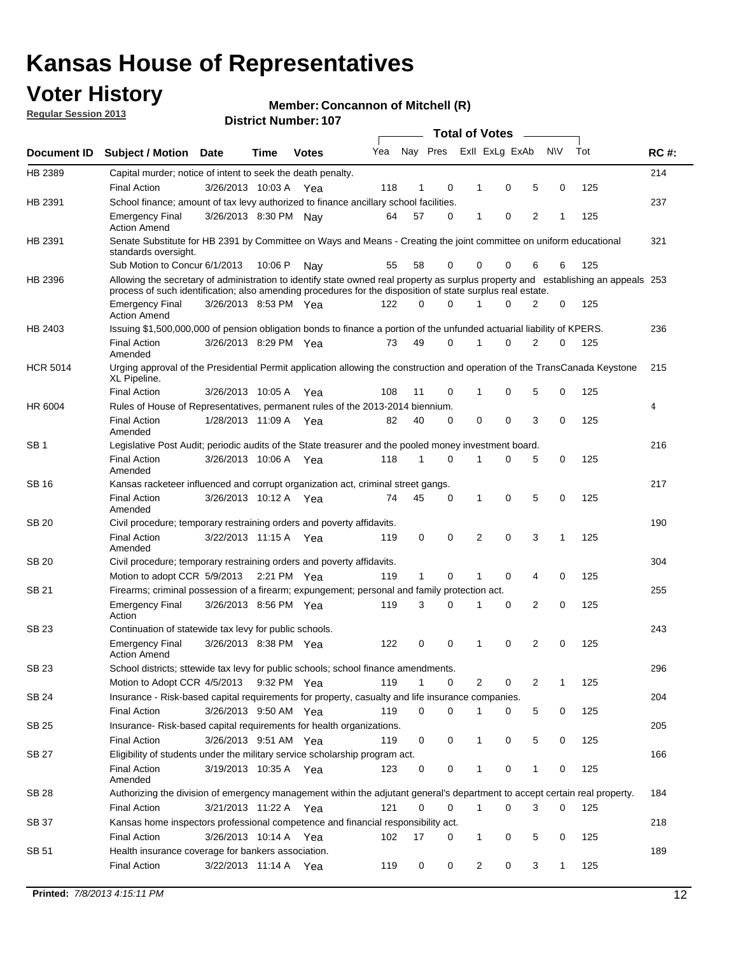## **Voter History**

**Member: Concannon of Mitchell (R)** 

**Regular Session 2013**

|                 |                                                                                                                                                                                                                                                  |                       |             |              |     |              |          | <b>Total of Votes</b> |   |   |              |     |             |
|-----------------|--------------------------------------------------------------------------------------------------------------------------------------------------------------------------------------------------------------------------------------------------|-----------------------|-------------|--------------|-----|--------------|----------|-----------------------|---|---|--------------|-----|-------------|
| Document ID     | Subject / Motion Date                                                                                                                                                                                                                            |                       | Time        | <b>Votes</b> | Yea | Nay Pres     |          | Exll ExLg ExAb        |   |   | <b>NV</b>    | Tot | <b>RC#:</b> |
| HB 2389         | Capital murder; notice of intent to seek the death penalty.                                                                                                                                                                                      |                       |             |              |     |              |          |                       |   |   |              |     | 214         |
|                 | <b>Final Action</b>                                                                                                                                                                                                                              | 3/26/2013 10:03 A     |             | Yea          | 118 | 1            | 0        | 1                     | 0 | 5 | 0            | 125 |             |
| HB 2391         | School finance; amount of tax levy authorized to finance ancillary school facilities.                                                                                                                                                            |                       |             |              |     |              |          |                       |   |   |              |     | 237         |
|                 | <b>Emergency Final</b><br><b>Action Amend</b>                                                                                                                                                                                                    | 3/26/2013 8:30 PM Nav |             |              | 64  | 57           | 0        | 1                     | 0 | 2 | 1            | 125 |             |
| HB 2391         | Senate Substitute for HB 2391 by Committee on Ways and Means - Creating the joint committee on uniform educational<br>standards oversight.                                                                                                       |                       |             |              |     |              |          |                       |   |   |              |     | 321         |
|                 | Sub Motion to Concur 6/1/2013                                                                                                                                                                                                                    |                       | 10:06 P     | Nav          | 55  | 58           | 0        | 0                     | 0 | 6 | 6            | 125 |             |
| HB 2396         | Allowing the secretary of administration to identify state owned real property as surplus property and establishing an appeals 253<br>process of such identification; also amending procedures for the disposition of state surplus real estate. |                       |             |              |     |              |          |                       |   |   |              |     |             |
|                 | <b>Emergency Final</b><br>Action Amend                                                                                                                                                                                                           | 3/26/2013 8:53 PM Yea |             |              | 122 | 0            | 0        |                       | 0 | 2 | 0            | 125 |             |
| HB 2403         | Issuing \$1,500,000,000 of pension obligation bonds to finance a portion of the unfunded actuarial liability of KPERS.                                                                                                                           |                       |             |              |     |              |          |                       |   |   |              |     | 236         |
|                 | <b>Final Action</b><br>Amended                                                                                                                                                                                                                   | 3/26/2013 8:29 PM Yea |             |              | 73  | 49           | 0        | 1                     | 0 | 2 | 0            | 125 |             |
| <b>HCR 5014</b> | Urging approval of the Presidential Permit application allowing the construction and operation of the TransCanada Keystone<br>XL Pipeline.                                                                                                       |                       |             |              |     |              |          |                       |   |   |              |     | 215         |
|                 | <b>Final Action</b>                                                                                                                                                                                                                              | 3/26/2013 10:05 A     |             | Yea          | 108 | 11           | 0        |                       | 0 | 5 | 0            | 125 |             |
| HR 6004         | Rules of House of Representatives, permanent rules of the 2013-2014 biennium.                                                                                                                                                                    |                       |             |              |     |              |          |                       |   |   |              |     | 4           |
|                 | <b>Final Action</b><br>Amended                                                                                                                                                                                                                   | 1/28/2013 11:09 A     |             | Yea          | 82  | 40           | 0        | 0                     | 0 | 3 | 0            | 125 |             |
| SB 1            | Legislative Post Audit; periodic audits of the State treasurer and the pooled money investment board.                                                                                                                                            |                       |             |              |     |              |          |                       |   |   |              |     | 216         |
|                 | <b>Final Action</b><br>Amended                                                                                                                                                                                                                   | 3/26/2013 10:06 A     |             | Yea          | 118 | 1            | 0        | 1                     | 0 | 5 | 0            | 125 |             |
| SB 16           | Kansas racketeer influenced and corrupt organization act, criminal street gangs.                                                                                                                                                                 |                       |             |              |     |              |          |                       |   |   |              |     | 217         |
|                 | <b>Final Action</b><br>Amended                                                                                                                                                                                                                   | 3/26/2013 10:12 A Yea |             |              | 74  | 45           | 0        | 1                     | 0 | 5 | 0            | 125 |             |
| SB 20           | Civil procedure; temporary restraining orders and poverty affidavits.                                                                                                                                                                            |                       |             |              |     |              |          |                       |   |   |              |     | 190         |
|                 | <b>Final Action</b><br>Amended                                                                                                                                                                                                                   | 3/22/2013 11:15 A     |             | Yea          | 119 | 0            | 0        | 2                     | 0 | 3 | 1            | 125 |             |
| SB 20           | Civil procedure; temporary restraining orders and poverty affidavits.                                                                                                                                                                            |                       |             |              |     |              |          |                       |   |   |              |     | 304         |
|                 | Motion to adopt CCR 5/9/2013                                                                                                                                                                                                                     |                       | 2:21 PM Yea |              | 119 | $\mathbf{1}$ | 0        | 1                     | 0 | 4 | 0            | 125 |             |
| SB 21           | Firearms; criminal possession of a firearm; expungement; personal and family protection act.                                                                                                                                                     |                       |             |              |     |              |          |                       |   |   |              |     | 255         |
|                 | <b>Emergency Final</b><br>Action                                                                                                                                                                                                                 | 3/26/2013 8:56 PM Yea |             |              | 119 | 3            | 0        |                       | 0 | 2 | 0            | 125 |             |
| SB 23           | Continuation of statewide tax levy for public schools.                                                                                                                                                                                           |                       |             |              |     |              |          |                       |   |   |              |     | 243         |
|                 | <b>Emergency Final</b><br><b>Action Amend</b>                                                                                                                                                                                                    | 3/26/2013 8:38 PM Yea |             |              | 122 | 0            | 0        | 1                     | 0 | 2 | 0            | 125 |             |
| <b>SB 23</b>    | School districts; sttewide tax levy for public schools; school finance amendments.                                                                                                                                                               |                       |             |              |     |              |          |                       |   |   |              |     | 296         |
|                 | Motion to Adopt CCR 4/5/2013 9:32 PM Yea                                                                                                                                                                                                         |                       |             |              | 119 | 1            | 0        | 2                     | 0 | 2 | 1            | 125 |             |
| <b>SB 24</b>    | Insurance - Risk-based capital requirements for property, casualty and life insurance companies.                                                                                                                                                 |                       |             |              |     |              |          |                       |   |   |              |     | 204         |
|                 | <b>Final Action</b>                                                                                                                                                                                                                              | 3/26/2013 9:50 AM Yea |             |              | 119 | 0            | 0        |                       | 0 | 5 | 0            | 125 |             |
| SB 25           | Insurance-Risk-based capital requirements for health organizations.                                                                                                                                                                              |                       |             |              |     |              |          |                       |   |   |              |     | 205         |
|                 | <b>Final Action</b>                                                                                                                                                                                                                              | 3/26/2013 9:51 AM Yea |             |              | 119 | 0            | 0        | 1                     | 0 | 5 | 0            | 125 |             |
| SB 27           | Eligibility of students under the military service scholarship program act.                                                                                                                                                                      |                       |             |              |     |              |          |                       |   |   |              |     | 166         |
|                 | <b>Final Action</b><br>Amended                                                                                                                                                                                                                   | 3/19/2013 10:35 A Yea |             |              | 123 | 0            | 0        |                       | 0 | 1 | 0            | 125 |             |
| SB 28           | Authorizing the division of emergency management within the adjutant general's department to accept certain real property.                                                                                                                       |                       |             |              |     |              |          |                       |   |   |              |     | 184         |
|                 | <b>Final Action</b>                                                                                                                                                                                                                              | 3/21/2013 11:22 A Yea |             |              | 121 | 0            | $\Omega$ | 1                     | 0 | 3 | $\Omega$     | 125 |             |
| SB 37           | Kansas home inspectors professional competence and financial responsibility act.                                                                                                                                                                 |                       |             |              |     |              |          |                       |   |   |              |     | 218         |
|                 | <b>Final Action</b>                                                                                                                                                                                                                              | 3/26/2013 10:14 A Yea |             |              | 102 | 17           | 0        | 1                     | 0 | 5 | 0            | 125 |             |
| SB 51           | Health insurance coverage for bankers association.                                                                                                                                                                                               |                       |             |              |     |              |          |                       |   |   |              |     | 189         |
|                 | <b>Final Action</b>                                                                                                                                                                                                                              | 3/22/2013 11:14 A Yea |             |              | 119 | 0            | 0        | 2                     | 0 | 3 | $\mathbf{1}$ | 125 |             |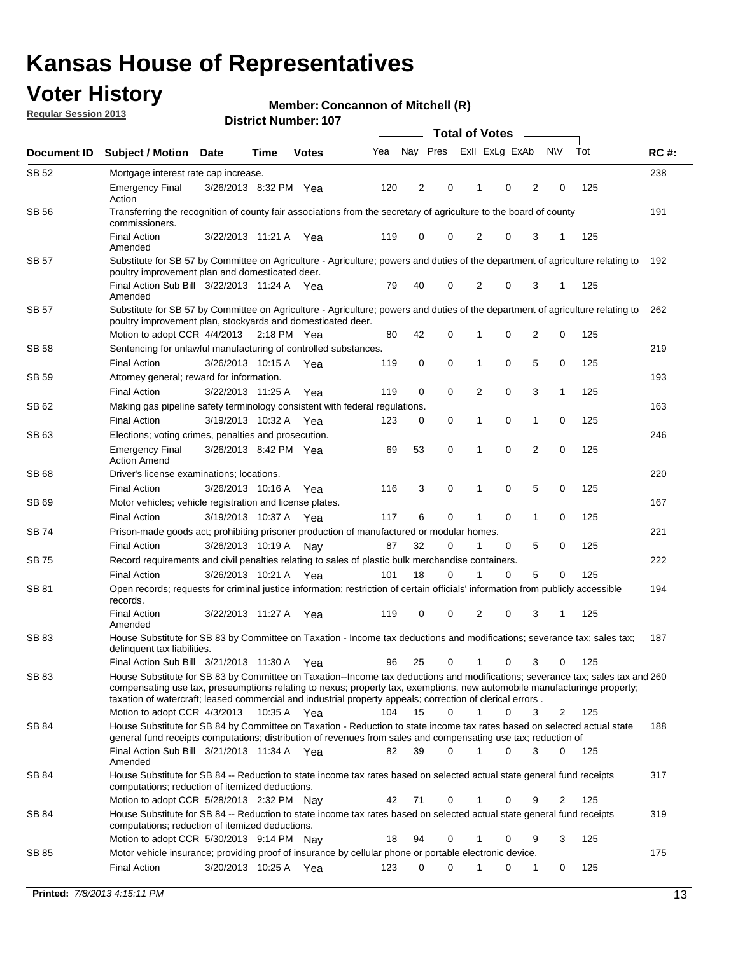## **Voter History**

**Member: Concannon of Mitchell (R)** 

**Regular Session 2013**

| Document ID  | <b>Subject / Motion Date</b>                                                                                                                                                                                                                                                                                                                                            |                       | Time          | <b>Votes</b> | Yea | Nay Pres |             | Exll ExLg ExAb |   |                | <b>NV</b> | Tot | <b>RC#:</b> |
|--------------|-------------------------------------------------------------------------------------------------------------------------------------------------------------------------------------------------------------------------------------------------------------------------------------------------------------------------------------------------------------------------|-----------------------|---------------|--------------|-----|----------|-------------|----------------|---|----------------|-----------|-----|-------------|
| SB 52        | Mortgage interest rate cap increase.                                                                                                                                                                                                                                                                                                                                    |                       |               |              |     |          |             |                |   |                |           |     | 238         |
|              | <b>Emergency Final</b><br>Action                                                                                                                                                                                                                                                                                                                                        | 3/26/2013 8:32 PM Yea |               |              | 120 | 2        | 0           | 1              | 0 | 2              | 0         | 125 |             |
| SB 56        | Transferring the recognition of county fair associations from the secretary of agriculture to the board of county<br>commissioners.                                                                                                                                                                                                                                     |                       |               |              |     |          |             |                |   |                |           |     | 191         |
|              | <b>Final Action</b><br>Amended                                                                                                                                                                                                                                                                                                                                          | 3/22/2013 11:21 A     |               | Yea          | 119 | 0        | 0           | 2              | 0 | 3              | 1         | 125 |             |
| <b>SB 57</b> | Substitute for SB 57 by Committee on Agriculture - Agriculture; powers and duties of the department of agriculture relating to<br>poultry improvement plan and domesticated deer.                                                                                                                                                                                       |                       |               |              |     |          |             |                |   |                |           |     | 192         |
|              | Final Action Sub Bill 3/22/2013 11:24 A Yea<br>Amended                                                                                                                                                                                                                                                                                                                  |                       |               |              | 79  | 40       | 0           | 2              | 0 | 3              | 1         | 125 |             |
| SB 57        | Substitute for SB 57 by Committee on Agriculture - Agriculture; powers and duties of the department of agriculture relating to<br>poultry improvement plan, stockyards and domesticated deer.                                                                                                                                                                           |                       |               |              |     |          |             |                |   |                |           |     | 262         |
|              | Motion to adopt CCR 4/4/2013                                                                                                                                                                                                                                                                                                                                            |                       | $2:18$ PM Yea |              | 80  | 42       | 0           |                | 0 | 2              | 0         | 125 |             |
| SB 58        | Sentencing for unlawful manufacturing of controlled substances.                                                                                                                                                                                                                                                                                                         |                       |               |              |     |          |             |                |   |                |           |     | 219         |
| <b>SB 59</b> | <b>Final Action</b><br>Attorney general; reward for information.                                                                                                                                                                                                                                                                                                        | 3/26/2013 10:15 A     |               | Yea          | 119 | 0        | 0           | 1              | 0 | 5              | 0         | 125 | 193         |
|              | <b>Final Action</b>                                                                                                                                                                                                                                                                                                                                                     | 3/22/2013 11:25 A     |               | Yea          | 119 | 0        | $\mathbf 0$ | 2              | 0 | 3              | 1         | 125 |             |
| SB 62        | Making gas pipeline safety terminology consistent with federal regulations.                                                                                                                                                                                                                                                                                             |                       |               |              |     |          |             |                |   |                |           |     | 163         |
|              | <b>Final Action</b>                                                                                                                                                                                                                                                                                                                                                     | 3/19/2013 10:32 A     |               | Yea          | 123 | 0        | 0           | 1              | 0 | 1              | 0         | 125 |             |
| SB 63        | Elections; voting crimes, penalties and prosecution.                                                                                                                                                                                                                                                                                                                    |                       |               |              |     |          |             |                |   |                |           |     | 246         |
|              | <b>Emergency Final</b><br><b>Action Amend</b>                                                                                                                                                                                                                                                                                                                           | 3/26/2013 8:42 PM Yea |               |              | 69  | 53       | $\mathbf 0$ | 1              | 0 | $\overline{2}$ | 0         | 125 |             |
| SB 68        | Driver's license examinations; locations.                                                                                                                                                                                                                                                                                                                               |                       |               |              |     |          |             |                |   |                |           |     | 220         |
|              | <b>Final Action</b>                                                                                                                                                                                                                                                                                                                                                     | 3/26/2013 10:16 A     |               | Yea          | 116 | 3        | 0           | 1              | 0 | 5              | 0         | 125 |             |
| SB 69        | Motor vehicles; vehicle registration and license plates.                                                                                                                                                                                                                                                                                                                |                       |               |              |     |          |             |                |   |                |           |     | 167         |
|              | <b>Final Action</b>                                                                                                                                                                                                                                                                                                                                                     | 3/19/2013 10:37 A     |               | Yea          | 117 | 6        | 0           | 1              | 0 | 1              | 0         | 125 |             |
| SB 74        | Prison-made goods act; prohibiting prisoner production of manufactured or modular homes.                                                                                                                                                                                                                                                                                |                       |               |              |     |          |             |                |   |                |           |     | 221         |
|              | <b>Final Action</b>                                                                                                                                                                                                                                                                                                                                                     | 3/26/2013 10:19 A     |               | Nay          | 87  | 32       | 0           | 1              | 0 | 5              | 0         | 125 |             |
| SB 75        | Record requirements and civil penalties relating to sales of plastic bulk merchandise containers.                                                                                                                                                                                                                                                                       |                       |               |              |     |          |             |                |   |                |           |     | 222         |
|              | <b>Final Action</b>                                                                                                                                                                                                                                                                                                                                                     | 3/26/2013 10:21 A     |               | Yea          | 101 | 18       | 0           |                | 0 | 5              | 0         | 125 |             |
| SB 81        | Open records; requests for criminal justice information; restriction of certain officials' information from publicly accessible<br>records.                                                                                                                                                                                                                             |                       |               |              |     |          |             |                |   |                |           |     | 194         |
|              | <b>Final Action</b><br>Amended                                                                                                                                                                                                                                                                                                                                          | 3/22/2013 11:27 A     |               | Yea          | 119 | 0        | 0           | 2              | 0 | 3              | 1         | 125 |             |
| SB 83        | House Substitute for SB 83 by Committee on Taxation - Income tax deductions and modifications; severance tax; sales tax;<br>delinquent tax liabilities.                                                                                                                                                                                                                 |                       |               |              |     |          |             |                |   |                |           |     | 187         |
|              | Final Action Sub Bill 3/21/2013 11:30 A                                                                                                                                                                                                                                                                                                                                 |                       |               | Yea          | 96  | 25       | 0           | 1              | 0 | 3              | 0         | 125 |             |
| SB 83        | House Substitute for SB 83 by Committee on Taxation--Income tax deductions and modifications; severance tax; sales tax and 260<br>compensating use tax, preseumptions relating to nexus; property tax, exemptions, new automobile manufacturinge property;<br>taxation of watercraft; leased commercial and industrial property appeals; correction of clerical errors. |                       |               |              |     |          |             |                |   |                |           |     |             |
|              | Motion to adopt CCR 4/3/2013                                                                                                                                                                                                                                                                                                                                            |                       | 10:35 A Yea   |              | 104 | 15       | $\Omega$    | $\mathbf 1$    | 0 | 3              | 2         | 125 |             |
| SB 84        | House Substitute for SB 84 by Committee on Taxation - Reduction to state income tax rates based on selected actual state<br>general fund receipts computations; distribution of revenues from sales and compensating use tax; reduction of                                                                                                                              |                       |               |              |     |          |             |                |   |                |           |     | 188         |
|              | Final Action Sub Bill 3/21/2013 11:34 A Yea<br>Amended                                                                                                                                                                                                                                                                                                                  |                       |               |              | 82  | 39       | $\Omega$    |                | 0 | 3              | $\Omega$  | 125 |             |
| SB 84        | House Substitute for SB 84 -- Reduction to state income tax rates based on selected actual state general fund receipts<br>computations; reduction of itemized deductions.                                                                                                                                                                                               |                       |               |              |     |          |             |                |   |                |           |     | 317         |
|              | Motion to adopt CCR 5/28/2013 2:32 PM Nay                                                                                                                                                                                                                                                                                                                               |                       |               |              | 42  | 71       | 0           |                | 0 | 9              | 2         | 125 |             |
| SB 84        | House Substitute for SB 84 -- Reduction to state income tax rates based on selected actual state general fund receipts<br>computations; reduction of itemized deductions.                                                                                                                                                                                               |                       |               |              |     |          |             |                |   |                |           |     | 319         |
|              | Motion to adopt CCR 5/30/2013 9:14 PM Nav                                                                                                                                                                                                                                                                                                                               |                       |               |              | 18  | 94       | 0           |                | 0 | 9              | 3         | 125 |             |
| SB 85        | Motor vehicle insurance; providing proof of insurance by cellular phone or portable electronic device.<br><b>Final Action</b>                                                                                                                                                                                                                                           | 3/20/2013 10:25 A Yea |               |              | 123 | 0        | 0           |                | 0 | 1              | 0         | 125 | 175         |
|              |                                                                                                                                                                                                                                                                                                                                                                         |                       |               |              |     |          |             |                |   |                |           |     |             |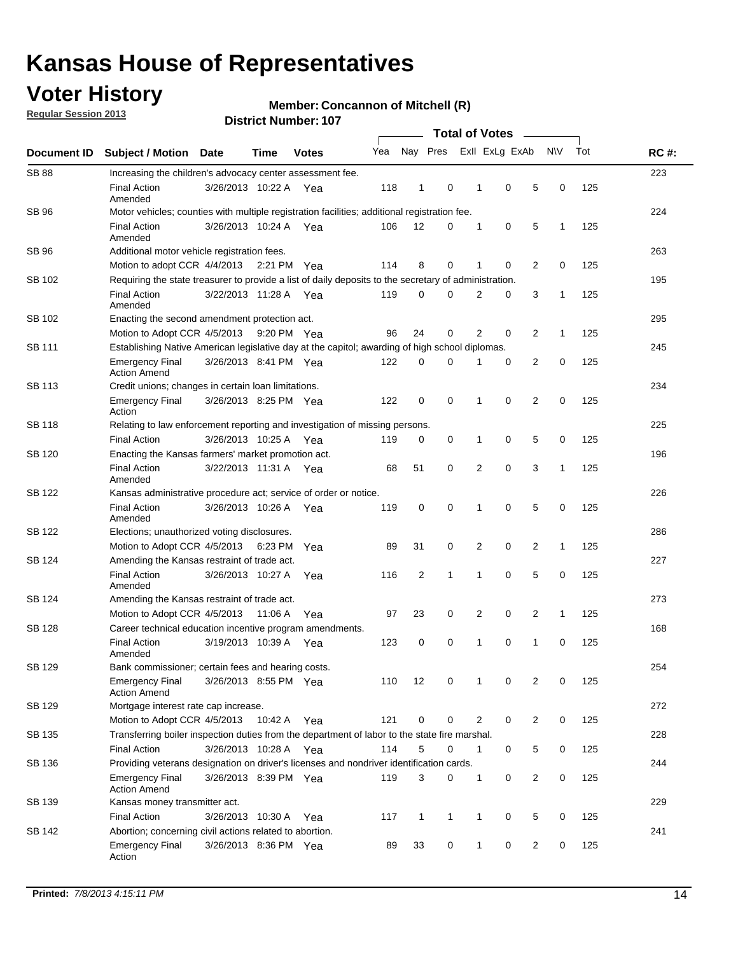## **Voter History**

**Regular Session 2013**

#### **Member: Concannon of Mitchell (R)**

| Document ID   |                                                                                                       |                                                                                              |         |              |     | <b>Total of Votes</b>   |              |                |   |                |              |     |             |
|---------------|-------------------------------------------------------------------------------------------------------|----------------------------------------------------------------------------------------------|---------|--------------|-----|-------------------------|--------------|----------------|---|----------------|--------------|-----|-------------|
|               | <b>Subject / Motion</b>                                                                               | Date                                                                                         | Time    | <b>Votes</b> | Yea | Nay Pres                |              | Exll ExLg ExAb |   |                | <b>NV</b>    | Tot | <b>RC#:</b> |
| <b>SB 88</b>  | Increasing the children's advocacy center assessment fee.                                             |                                                                                              |         |              |     |                         |              |                |   |                |              |     | 223         |
|               | <b>Final Action</b><br>Amended                                                                        | 3/26/2013 10:22 A                                                                            |         | Yea          | 118 | 1                       | 0            | 1              | 0 | 5              | 0            | 125 |             |
| <b>SB 96</b>  |                                                                                                       | Motor vehicles; counties with multiple registration facilities; additional registration fee. |         |              |     |                         |              |                |   |                |              |     |             |
|               | <b>Final Action</b><br>Amended                                                                        | 3/26/2013 10:24 A                                                                            |         | Yea          | 106 | 12                      | 0            | 1              | 0 | 5              | 1            | 125 |             |
| SB 96         | Additional motor vehicle registration fees.                                                           |                                                                                              |         |              |     |                         |              |                |   |                |              |     | 263         |
|               | Motion to adopt CCR 4/4/2013 2:21 PM                                                                  |                                                                                              |         | Yea          | 114 | 8                       | 0            | 1              | 0 | $\overline{2}$ | $\mathbf 0$  | 125 |             |
| SB 102        | Requiring the state treasurer to provide a list of daily deposits to the secretary of administration. |                                                                                              |         |              |     |                         |              |                |   |                |              |     | 195         |
|               | <b>Final Action</b><br>Amended                                                                        | 3/22/2013 11:28 A Yea                                                                        |         |              | 119 | 0                       | $\Omega$     | 2              | 0 | 3              | $\mathbf{1}$ | 125 |             |
| SB 102        | Enacting the second amendment protection act.                                                         |                                                                                              |         |              |     |                         |              |                |   |                |              |     |             |
|               | Motion to Adopt CCR 4/5/2013                                                                          |                                                                                              |         | 9:20 PM Yea  | 96  | 24                      | 0            | 2              | 0 | 2              | $\mathbf{1}$ | 125 |             |
| SB 111        | Establishing Native American legislative day at the capitol; awarding of high school diplomas.        |                                                                                              |         |              |     |                         |              |                |   |                |              |     |             |
|               | <b>Emergency Final</b><br><b>Action Amend</b>                                                         | 3/26/2013 8:41 PM Yea                                                                        |         |              | 122 | 0                       | 0            | 1              | 0 | 2              | 0            | 125 |             |
| <b>SB 113</b> | Credit unions; changes in certain loan limitations.                                                   |                                                                                              |         |              |     |                         |              |                |   |                |              |     | 234         |
|               | <b>Emergency Final</b><br>Action                                                                      | 3/26/2013 8:25 PM Yea                                                                        |         |              | 122 | 0                       | 0            | 1              | 0 | 2              | 0            | 125 |             |
| <b>SB 118</b> | Relating to law enforcement reporting and investigation of missing persons.                           |                                                                                              |         |              |     |                         |              |                |   |                |              |     | 225         |
|               | <b>Final Action</b>                                                                                   | 3/26/2013 10:25 A                                                                            |         | Yea          | 119 | 0                       | 0            | 1              | 0 | 5              | 0            | 125 |             |
| SB 120        | Enacting the Kansas farmers' market promotion act.                                                    |                                                                                              |         |              |     |                         |              |                |   |                |              |     | 196         |
|               | <b>Final Action</b><br>Amended                                                                        | 3/22/2013 11:31 A Yea                                                                        |         |              | 68  | 51                      | 0            | 2              | 0 | 3              | 1            | 125 |             |
| <b>SB 122</b> | Kansas administrative procedure act; service of order or notice.                                      |                                                                                              |         |              |     |                         |              |                |   |                |              |     | 226         |
|               | <b>Final Action</b><br>Amended                                                                        | 3/26/2013 10:26 A                                                                            |         | Yea          | 119 | 0                       | 0            | 1              | 0 | 5              | 0            | 125 |             |
| SB 122        | Elections; unauthorized voting disclosures.                                                           |                                                                                              |         |              |     |                         |              |                |   |                |              |     |             |
|               | 0<br>2<br>0<br>2<br>Motion to Adopt CCR 4/5/2013<br>6:23 PM<br>89<br>31<br>$\mathbf{1}$<br>125<br>Yea |                                                                                              |         |              |     |                         |              |                |   |                |              |     |             |
| SB 124        | Amending the Kansas restraint of trade act.                                                           |                                                                                              |         |              |     |                         |              |                |   |                |              |     | 227         |
|               | <b>Final Action</b><br>Amended                                                                        | 3/26/2013 10:27 A                                                                            |         | Yea          | 116 | $\overline{\mathbf{c}}$ | 1            | 1              | 0 | 5              | 0            | 125 |             |
| SB 124        |                                                                                                       | 273<br>Amending the Kansas restraint of trade act.                                           |         |              |     |                         |              |                |   |                |              |     |             |
|               | Motion to Adopt CCR 4/5/2013                                                                          |                                                                                              | 11:06 A | Yea          | 97  | 23                      | 0            | 2              | 0 | 2              | $\mathbf{1}$ | 125 |             |
| SB 128        | Career technical education incentive program amendments.                                              |                                                                                              |         |              |     |                         |              |                |   |                |              |     | 168         |
|               | <b>Final Action</b><br>Amended                                                                        | 3/19/2013 10:39 A                                                                            |         | Yea          | 123 | 0                       | 0            | 1              | 0 | 1              | 0            | 125 |             |
| SB 129        | Bank commissioner: certain fees and hearing costs.                                                    |                                                                                              |         |              |     |                         |              |                |   |                |              |     | 254         |
|               | <b>Emergency Final</b><br><b>Action Amend</b>                                                         | 3/26/2013 8:55 PM Yea                                                                        |         |              | 110 | 12                      | 0            |                | 0 | 2              | 0            | 125 |             |
| <b>SB 129</b> | Mortgage interest rate cap increase.                                                                  |                                                                                              |         |              |     |                         |              |                |   |                |              |     | 272         |
|               | Motion to Adopt CCR 4/5/2013 10:42 A                                                                  |                                                                                              |         | Yea          | 121 | 0                       | 0            | 2              | 0 | 2              | 0            | 125 |             |
| SB 135        | Transferring boiler inspection duties from the department of labor to the state fire marshal.         |                                                                                              |         |              |     |                         |              |                |   |                |              |     | 228         |
|               | <b>Final Action</b>                                                                                   | 3/26/2013 10:28 A Yea                                                                        |         |              | 114 | 5                       | 0            | $\mathbf 1$    | 0 | 5              | 0            | 125 |             |
| SB 136        | Providing veterans designation on driver's licenses and nondriver identification cards.               |                                                                                              |         |              |     |                         |              |                |   |                |              |     | 244         |
|               | <b>Emergency Final</b><br><b>Action Amend</b>                                                         | 3/26/2013 8:39 PM Yea                                                                        |         |              | 119 | 3                       | 0            | $\mathbf{1}$   | 0 | $\overline{2}$ | 0            | 125 |             |
| SB 139        | Kansas money transmitter act.                                                                         |                                                                                              |         |              |     |                         |              |                |   |                |              |     | 229         |
|               | <b>Final Action</b>                                                                                   | 3/26/2013 10:30 A                                                                            |         | Yea          | 117 | $\mathbf{1}$            | $\mathbf{1}$ | $\mathbf{1}$   | 0 | 5              | 0            | 125 |             |
| SB 142        | Abortion; concerning civil actions related to abortion.                                               |                                                                                              |         |              |     |                         |              |                |   |                |              |     | 241         |
|               | <b>Emergency Final</b><br>Action                                                                      | 3/26/2013 8:36 PM Yea                                                                        |         |              | 89  | 33                      | 0            | $\mathbf{1}$   | 0 | 2              | 0            | 125 |             |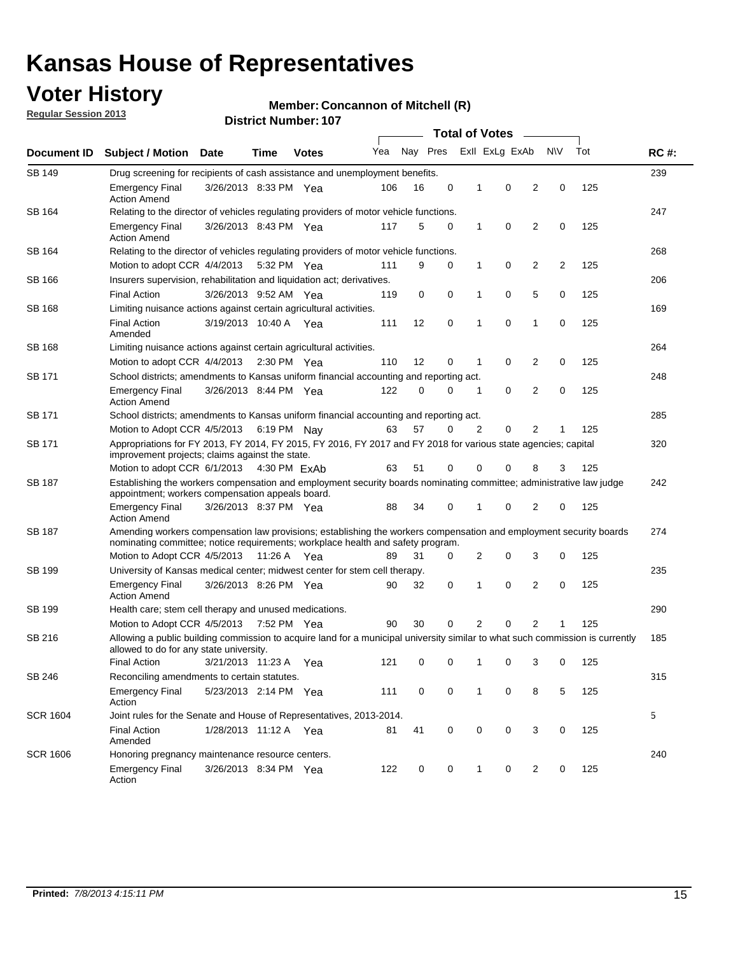## **Voter History**

**Regular Session 2013**

#### **Member: Concannon of Mitchell (R)**

| Document ID     |                                                                                                                                                                                                       |                                                                                    |             |              | <b>Total of Votes</b> |          |   |   |                |                |           |     |             |  |
|-----------------|-------------------------------------------------------------------------------------------------------------------------------------------------------------------------------------------------------|------------------------------------------------------------------------------------|-------------|--------------|-----------------------|----------|---|---|----------------|----------------|-----------|-----|-------------|--|
|                 | <b>Subject / Motion Date</b>                                                                                                                                                                          |                                                                                    | Time        | <b>Votes</b> | Yea                   | Nay Pres |   |   | Exll ExLg ExAb |                | <b>NV</b> | Tot | <b>RC#:</b> |  |
| <b>SB 149</b>   |                                                                                                                                                                                                       | 239<br>Drug screening for recipients of cash assistance and unemployment benefits. |             |              |                       |          |   |   |                |                |           |     |             |  |
|                 | <b>Emergency Final</b><br><b>Action Amend</b>                                                                                                                                                         | 3/26/2013 8:33 PM Yea                                                              |             |              | 106                   | 16       | 0 | 1 | 0              | 2              | 0         | 125 |             |  |
| SB 164          | Relating to the director of vehicles regulating providers of motor vehicle functions.                                                                                                                 |                                                                                    |             |              |                       |          |   |   |                |                |           |     | 247         |  |
|                 | <b>Emergency Final</b><br><b>Action Amend</b>                                                                                                                                                         | 3/26/2013 8:43 PM Yea                                                              |             |              | 117                   | 5        | 0 | 1 | 0              | 2              | 0         | 125 |             |  |
| SB 164          | Relating to the director of vehicles regulating providers of motor vehicle functions.                                                                                                                 |                                                                                    |             |              |                       |          |   |   |                |                |           |     | 268         |  |
|                 | Motion to adopt CCR 4/4/2013                                                                                                                                                                          |                                                                                    | 5:32 PM Yea |              | 111                   | 9        | 0 | 1 | 0              | 2              | 2         | 125 |             |  |
| SB 166          | Insurers supervision, rehabilitation and liquidation act; derivatives.                                                                                                                                |                                                                                    |             |              |                       |          |   |   |                |                |           |     | 206         |  |
|                 | <b>Final Action</b>                                                                                                                                                                                   | 3/26/2013 9:52 AM Yea                                                              |             |              | 119                   | 0        | 0 | 1 | 0              | 5              | 0         | 125 |             |  |
| SB 168          | Limiting nuisance actions against certain agricultural activities.                                                                                                                                    |                                                                                    |             |              |                       |          |   |   |                |                |           |     | 169         |  |
|                 | <b>Final Action</b><br>Amended                                                                                                                                                                        | 3/19/2013 10:40 A Yea                                                              |             |              | 111                   | 12       | 0 | 1 | 0              | 1              | 0         | 125 |             |  |
| SB 168          | Limiting nuisance actions against certain agricultural activities.                                                                                                                                    |                                                                                    |             |              |                       |          |   |   |                |                |           |     | 264         |  |
|                 | Motion to adopt CCR 4/4/2013                                                                                                                                                                          |                                                                                    | 2:30 PM Yea |              | 110                   | 12       | 0 | 1 | 0              | 2              | 0         | 125 |             |  |
| SB 171          | School districts; amendments to Kansas uniform financial accounting and reporting act.                                                                                                                |                                                                                    |             |              |                       |          |   |   |                |                |           |     | 248         |  |
|                 | <b>Emergency Final</b><br><b>Action Amend</b>                                                                                                                                                         | 3/26/2013 8:44 PM Yea                                                              |             |              | 122                   | 0        | 0 | 1 | 0              | 2              | 0         | 125 |             |  |
| SB 171          | School districts; amendments to Kansas uniform financial accounting and reporting act.                                                                                                                |                                                                                    |             |              |                       |          |   |   |                |                |           |     | 285         |  |
|                 | Motion to Adopt CCR 4/5/2013 6:19 PM Nay                                                                                                                                                              |                                                                                    |             |              | 63                    | 57       | 0 | 2 | 0              | 2              |           | 125 |             |  |
| SB 171          | Appropriations for FY 2013, FY 2014, FY 2015, FY 2016, FY 2017 and FY 2018 for various state agencies; capital<br>improvement projects; claims against the state.                                     |                                                                                    |             |              |                       |          |   |   |                |                |           | 320 |             |  |
|                 | Motion to adopt CCR 6/1/2013 4:30 PM ExAb                                                                                                                                                             |                                                                                    |             |              | 63                    | 51       | 0 | 0 | 0              | 8              | 3         | 125 |             |  |
| SB 187          | Establishing the workers compensation and employment security boards nominating committee; administrative law judge<br>appointment; workers compensation appeals board.                               |                                                                                    |             |              |                       |          |   |   |                |                |           | 242 |             |  |
|                 | <b>Emergency Final</b><br><b>Action Amend</b>                                                                                                                                                         | 3/26/2013 8:37 PM Yea                                                              |             |              | 88                    | 34       | 0 | 1 | 0              | 2              | 0         | 125 |             |  |
| SB 187          | Amending workers compensation law provisions; establishing the workers compensation and employment security boards<br>nominating committee; notice requirements; workplace health and safety program. |                                                                                    |             |              |                       |          |   |   |                |                |           |     | 274         |  |
|                 | Motion to Adopt CCR 4/5/2013 11:26 A Yea                                                                                                                                                              |                                                                                    |             |              | 89                    | 31       | 0 | 2 | 0              | 3              | 0         | 125 |             |  |
| SB 199          | University of Kansas medical center; midwest center for stem cell therapy.                                                                                                                            |                                                                                    |             |              |                       |          |   |   |                |                |           |     | 235         |  |
|                 | <b>Emergency Final</b><br><b>Action Amend</b>                                                                                                                                                         | 3/26/2013 8:26 PM Yea                                                              |             |              | 90                    | 32       | 0 | 1 | $\mathbf 0$    | 2              | 0         | 125 |             |  |
| SB 199          | Health care; stem cell therapy and unused medications.                                                                                                                                                |                                                                                    |             |              |                       |          |   |   |                |                |           |     | 290         |  |
|                 | Motion to Adopt CCR 4/5/2013                                                                                                                                                                          |                                                                                    | 7:52 PM Yea |              | 90                    | 30       | 0 | 2 | 0              | $\overline{2}$ | 1         | 125 |             |  |
| SB 216          | Allowing a public building commission to acquire land for a municipal university similar to what such commission is currently<br>allowed to do for any state university.                              |                                                                                    |             |              |                       |          |   |   |                |                |           |     | 185         |  |
|                 | <b>Final Action</b>                                                                                                                                                                                   | 3/21/2013 11:23 A                                                                  |             | Yea          | 121                   | 0        | 0 | 1 | 0              | 3              | 0         | 125 |             |  |
| SB 246          | Reconciling amendments to certain statutes.                                                                                                                                                           |                                                                                    |             |              |                       |          |   |   |                |                |           |     | 315         |  |
|                 | <b>Emergency Final</b><br>Action                                                                                                                                                                      | 5/23/2013 2:14 PM Yea                                                              |             |              | 111                   | 0        | 0 | 1 | 0              | 8              | 5         | 125 |             |  |
| <b>SCR 1604</b> | Joint rules for the Senate and House of Representatives, 2013-2014.                                                                                                                                   |                                                                                    |             |              |                       |          |   |   |                |                |           |     | 5           |  |
|                 | <b>Final Action</b><br>Amended                                                                                                                                                                        | 1/28/2013 11:12 A Yea                                                              |             |              | 81                    | 41       | 0 | 0 | 0              | 3              | 0         | 125 |             |  |
| <b>SCR 1606</b> | Honoring pregnancy maintenance resource centers.                                                                                                                                                      |                                                                                    |             |              |                       |          |   |   |                |                |           |     | 240         |  |
|                 | <b>Emergency Final</b><br>Action                                                                                                                                                                      | 3/26/2013 8:34 PM Yea                                                              |             |              | 122                   | 0        | 0 | 1 | 0              | 2              | 0         | 125 |             |  |